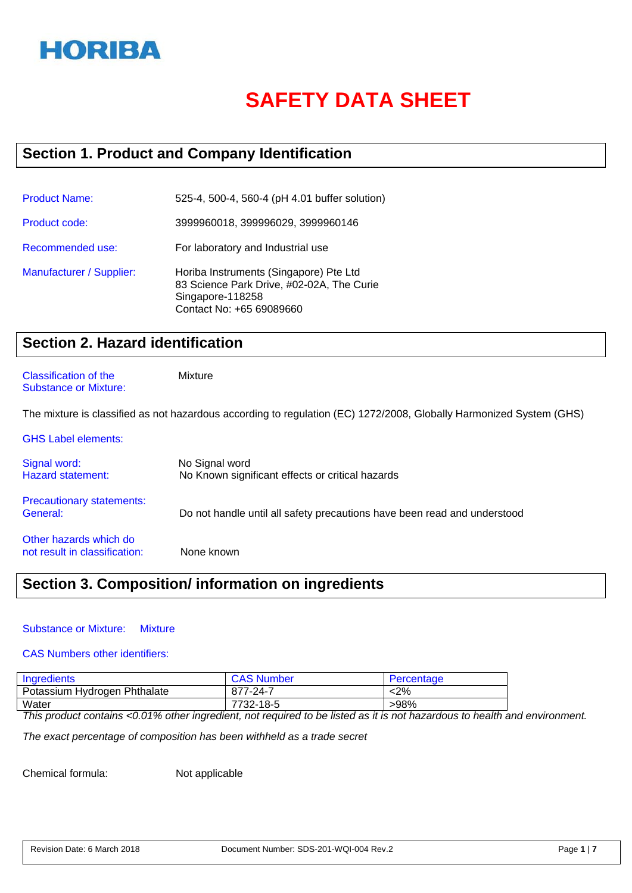

# **SAFETY DATA SHEET**

# **Section 1. Product and Company Identification**

| <b>Product Name:</b>     | 525-4, 500-4, 560-4 (pH 4.01 buffer solution)                                                                                       |
|--------------------------|-------------------------------------------------------------------------------------------------------------------------------------|
| Product code:            | 3999960018, 399996029, 3999960146                                                                                                   |
| Recommended use:         | For laboratory and Industrial use                                                                                                   |
| Manufacturer / Supplier: | Horiba Instruments (Singapore) Pte Ltd<br>83 Science Park Drive, #02-02A, The Curie<br>Singapore-118258<br>Contact No: +65 69089660 |

# **Section 2. Hazard identification**

#### Classification of the Mixture Substance or Mixture:

The mixture is classified as not hazardous according to regulation (EC) 1272/2008, Globally Harmonized System (GHS)

| <b>GHS Label elements:</b>                              |                                                                          |
|---------------------------------------------------------|--------------------------------------------------------------------------|
| Signal word:<br><b>Hazard statement:</b>                | No Signal word<br>No Known significant effects or critical hazards       |
| <b>Precautionary statements:</b><br>General:            | Do not handle until all safety precautions have been read and understood |
| Other hazards which do<br>not result in classification: | None known                                                               |

# **Section 3. Composition/ information on ingredients**

#### Substance or Mixture: Mixture

#### CAS Numbers other identifiers:

| Ingredients                  | <b>CAS Number</b> | Percentage |
|------------------------------|-------------------|------------|
| Potassium Hydrogen Phthalate | 877-24-7          | <2%        |
| Water                        | 7732-18-5         | >98%       |

*This product contains <0.01% other ingredient, not required to be listed as it is not hazardous to health and environment.* 

*The exact percentage of composition has been withheld as a trade secret*

Chemical formula: Not applicable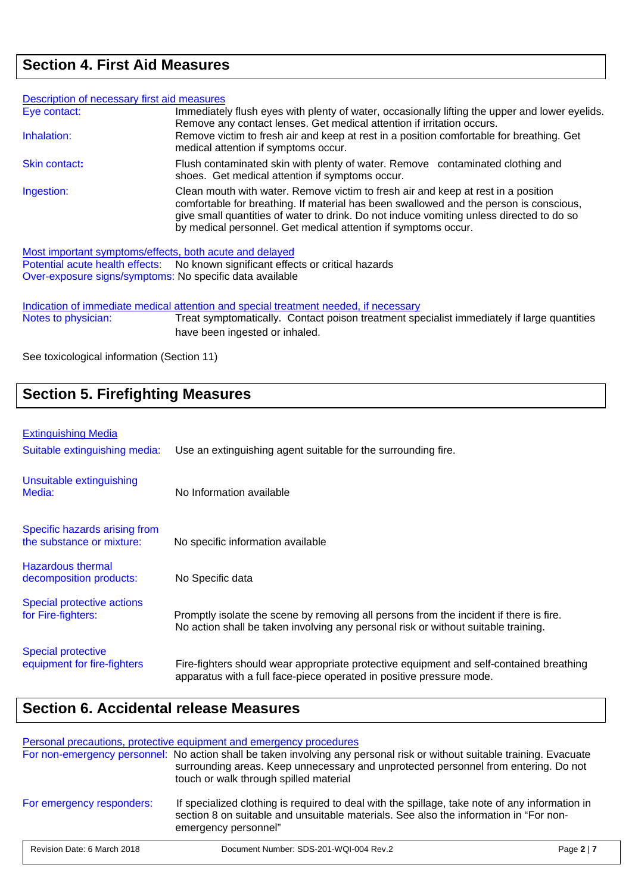# **Section 4. First Aid Measures**

| Description of necessary first aid measures |                                                                                                                                                                                                                                                                                                                                           |
|---------------------------------------------|-------------------------------------------------------------------------------------------------------------------------------------------------------------------------------------------------------------------------------------------------------------------------------------------------------------------------------------------|
| Eye contact:                                | Immediately flush eyes with plenty of water, occasionally lifting the upper and lower eyelids.<br>Remove any contact lenses. Get medical attention if irritation occurs.                                                                                                                                                                  |
| Inhalation:                                 | Remove victim to fresh air and keep at rest in a position comfortable for breathing. Get<br>medical attention if symptoms occur.                                                                                                                                                                                                          |
| Skin contact:                               | Flush contaminated skin with plenty of water. Remove contaminated clothing and<br>shoes. Get medical attention if symptoms occur.                                                                                                                                                                                                         |
| Ingestion:                                  | Clean mouth with water. Remove victim to fresh air and keep at rest in a position<br>comfortable for breathing. If material has been swallowed and the person is conscious,<br>give small quantities of water to drink. Do not induce vomiting unless directed to do so<br>by medical personnel. Get medical attention if symptoms occur. |

Most important symptoms/effects, both acute and delayed

Potential acute health effects: No known significant effects or critical hazards Over-exposure signs/symptoms: No specific data available

Indication of immediate medical attention and special treatment needed, if necessary<br>Notes to physician: Treat symptomatically. Contact poison treatment special Treat symptomatically. Contact poison treatment specialist immediately if large quantities have been ingested or inhaled.

See toxicological information (Section 11)

# **Section 5. Firefighting Measures**

### Extinguishing Media

| Suitable extinguishing media:                              | Use an extinguishing agent suitable for the surrounding fire.                                                                                                                |
|------------------------------------------------------------|------------------------------------------------------------------------------------------------------------------------------------------------------------------------------|
| Unsuitable extinguishing<br>Media:                         | No Information available                                                                                                                                                     |
| Specific hazards arising from<br>the substance or mixture: | No specific information available                                                                                                                                            |
| <b>Hazardous thermal</b><br>decomposition products:        | No Specific data                                                                                                                                                             |
| Special protective actions<br>for Fire-fighters:           | Promptly isolate the scene by removing all persons from the incident if there is fire.<br>No action shall be taken involving any personal risk or without suitable training. |
| <b>Special protective</b><br>equipment for fire-fighters   | Fire-fighters should wear appropriate protective equipment and self-contained breathing<br>apparatus with a full face-piece operated in positive pressure mode.              |

# **Section 6. Accidental release Measures**

Personal precautions, protective equipment and emergency procedures

|                             | For non-emergency personnel: No action shall be taken involving any personal risk or without suitable training. Evacuate<br>surrounding areas. Keep unnecessary and unprotected personnel from entering. Do not<br>touch or walk through spilled material |            |
|-----------------------------|-----------------------------------------------------------------------------------------------------------------------------------------------------------------------------------------------------------------------------------------------------------|------------|
| For emergency responders:   | If specialized clothing is required to deal with the spillage, take note of any information in<br>section 8 on suitable and unsuitable materials. See also the information in "For non-<br>emergency personnel"                                           |            |
| Revision Date: 6 March 2018 | Document Number: SDS-201-WQI-004 Rev.2                                                                                                                                                                                                                    | Page $2 7$ |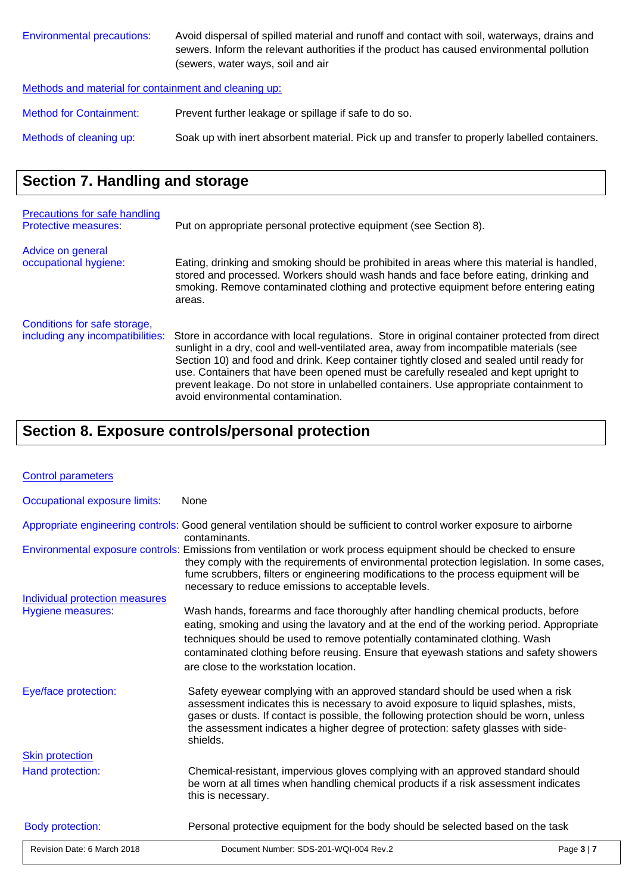| Environmental precautions: | Avoid dispersal of spilled material and runoff and contact with soil, waterways, drains and |
|----------------------------|---------------------------------------------------------------------------------------------|
|                            | sewers. Inform the relevant authorities if the product has caused environmental pollution   |
|                            | (sewers, water ways, soil and air                                                           |

Methods and material for containment and cleaning up:

Method for Containment: Prevent further leakage or spillage if safe to do so.

Methods of cleaning up: Soak up with inert absorbent material. Pick up and transfer to properly labelled containers.

# **Section 7. Handling and storage**

| <b>Precautions for safe handling</b><br><b>Protective measures:</b> | Put on appropriate personal protective equipment (see Section 8).                                                                                                                                                                                                                                                                                                                                                                                                                                            |
|---------------------------------------------------------------------|--------------------------------------------------------------------------------------------------------------------------------------------------------------------------------------------------------------------------------------------------------------------------------------------------------------------------------------------------------------------------------------------------------------------------------------------------------------------------------------------------------------|
| Advice on general<br>occupational hygiene:                          | Eating, drinking and smoking should be prohibited in areas where this material is handled,<br>stored and processed. Workers should wash hands and face before eating, drinking and<br>smoking. Remove contaminated clothing and protective equipment before entering eating<br>areas.                                                                                                                                                                                                                        |
| Conditions for safe storage,<br>including any incompatibilities:    | Store in accordance with local regulations. Store in original container protected from direct<br>sunlight in a dry, cool and well-ventilated area, away from incompatible materials (see<br>Section 10) and food and drink. Keep container tightly closed and sealed until ready for<br>use. Containers that have been opened must be carefully resealed and kept upright to<br>prevent leakage. Do not store in unlabelled containers. Use appropriate containment to<br>avoid environmental contamination. |

# **Section 8. Exposure controls/personal protection**

| <b>Control parameters</b>      |                                                                                                                                                                                                                                                                                                                                                                                                 |                 |
|--------------------------------|-------------------------------------------------------------------------------------------------------------------------------------------------------------------------------------------------------------------------------------------------------------------------------------------------------------------------------------------------------------------------------------------------|-----------------|
| Occupational exposure limits:  | None                                                                                                                                                                                                                                                                                                                                                                                            |                 |
|                                | Appropriate engineering controls: Good general ventilation should be sufficient to control worker exposure to airborne                                                                                                                                                                                                                                                                          |                 |
|                                | contaminants.<br>Environmental exposure controls: Emissions from ventilation or work process equipment should be checked to ensure<br>they comply with the requirements of environmental protection legislation. In some cases,<br>fume scrubbers, filters or engineering modifications to the process equipment will be<br>necessary to reduce emissions to acceptable levels.                 |                 |
| Individual protection measures |                                                                                                                                                                                                                                                                                                                                                                                                 |                 |
| Hygiene measures:              | Wash hands, forearms and face thoroughly after handling chemical products, before<br>eating, smoking and using the lavatory and at the end of the working period. Appropriate<br>techniques should be used to remove potentially contaminated clothing. Wash<br>contaminated clothing before reusing. Ensure that eyewash stations and safety showers<br>are close to the workstation location. |                 |
| Eye/face protection:           | Safety eyewear complying with an approved standard should be used when a risk<br>assessment indicates this is necessary to avoid exposure to liquid splashes, mists,<br>gases or dusts. If contact is possible, the following protection should be worn, unless<br>the assessment indicates a higher degree of protection: safety glasses with side-<br>shields.                                |                 |
| <b>Skin protection</b>         |                                                                                                                                                                                                                                                                                                                                                                                                 |                 |
| Hand protection:               | Chemical-resistant, impervious gloves complying with an approved standard should<br>be worn at all times when handling chemical products if a risk assessment indicates<br>this is necessary.                                                                                                                                                                                                   |                 |
| <b>Body protection:</b>        | Personal protective equipment for the body should be selected based on the task                                                                                                                                                                                                                                                                                                                 |                 |
| Revision Date: 6 March 2018    | Document Number: SDS-201-WQI-004 Rev.2                                                                                                                                                                                                                                                                                                                                                          | Page $3 \mid 7$ |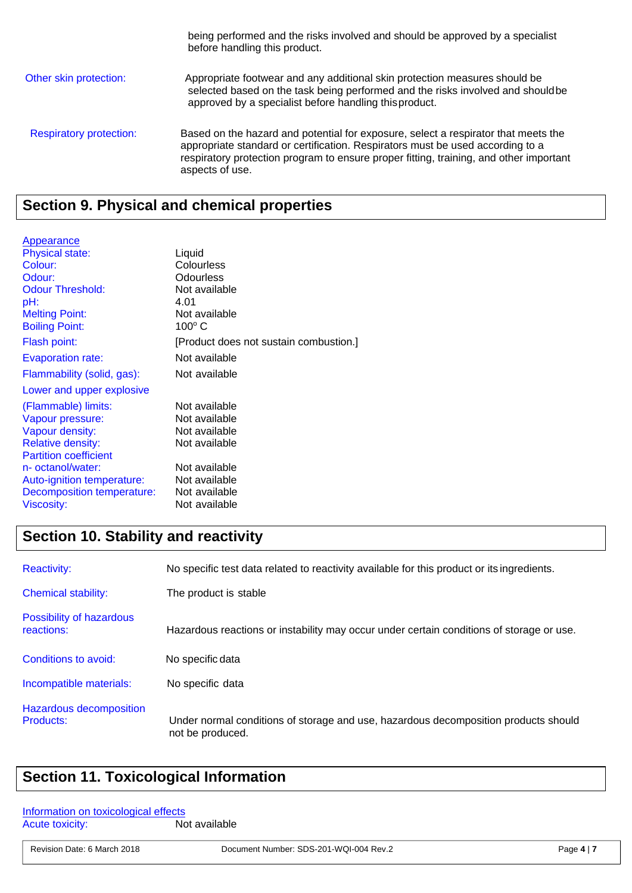being performed and the risks involved and should be approved by a specialist before handling this product. Other skin protection: Appropriate footwear and any additional skin protection measures should be selected based on the task being performed and the risks involved and should be approved by a specialist before handling this product. Respiratory protection: Based on the hazard and potential for exposure, select a respirator that meets the appropriate standard or certification. Respirators must be used according to a respiratory protection program to ensure proper fitting, training, and other important aspects of use.

# **Section 9. Physical and chemical properties**

| Appearance                   |                                        |
|------------------------------|----------------------------------------|
| <b>Physical state:</b>       | Liquid                                 |
| Colour:                      | Colourless                             |
| Odour:                       | <b>Odourless</b>                       |
| <b>Odour Threshold:</b>      | Not available                          |
| pH:                          | 4.01                                   |
| <b>Melting Point:</b>        | Not available                          |
| <b>Boiling Point:</b>        | $100^{\circ}$ C                        |
| Flash point:                 | [Product does not sustain combustion.] |
| <b>Evaporation rate:</b>     | Not available                          |
| Flammability (solid, gas):   | Not available                          |
| Lower and upper explosive    |                                        |
| (Flammable) limits:          | Not available                          |
| Vapour pressure:             | Not available                          |
| Vapour density:              | Not available                          |
| <b>Relative density:</b>     | Not available                          |
| <b>Partition coefficient</b> |                                        |
| n- octanol/water:            | Not available                          |
| Auto-ignition temperature:   | Not available                          |
| Decomposition temperature:   | Not available                          |
| Viscosity:                   | Not available                          |

# **Section 10. Stability and reactivity**

| <b>Reactivity:</b>                          | No specific test data related to reactivity available for this product or its ingredients.              |
|---------------------------------------------|---------------------------------------------------------------------------------------------------------|
| <b>Chemical stability:</b>                  | The product is stable                                                                                   |
| Possibility of hazardous<br>reactions:      | Hazardous reactions or instability may occur under certain conditions of storage or use.                |
| Conditions to avoid:                        | No specific data                                                                                        |
| Incompatible materials:                     | No specific data                                                                                        |
| <b>Hazardous decomposition</b><br>Products: | Under normal conditions of storage and use, hazardous decomposition products should<br>not be produced. |

# **Section 11. Toxicological Information**

| Information on toxicological effects |               |
|--------------------------------------|---------------|
| <b>Acute toxicity:</b>               | Not available |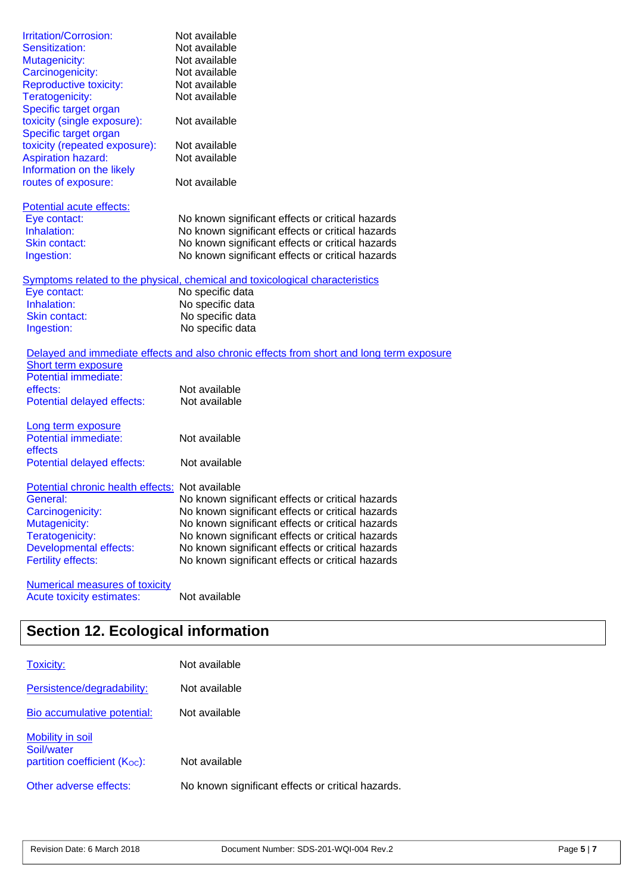| Irritation/Corrosion:                              | Not available                                                                            |
|----------------------------------------------------|------------------------------------------------------------------------------------------|
| Sensitization:                                     | Not available                                                                            |
| Mutagenicity:                                      | Not available                                                                            |
| Carcinogenicity:                                   | Not available                                                                            |
| <b>Reproductive toxicity:</b>                      | Not available                                                                            |
| Teratogenicity:                                    | Not available                                                                            |
| Specific target organ                              |                                                                                          |
| toxicity (single exposure):                        | Not available                                                                            |
| Specific target organ                              |                                                                                          |
| toxicity (repeated exposure):                      | Not available                                                                            |
| <b>Aspiration hazard:</b>                          | Not available                                                                            |
| Information on the likely                          |                                                                                          |
| routes of exposure:                                | Not available                                                                            |
|                                                    |                                                                                          |
| Potential acute effects:                           |                                                                                          |
| Eye contact:                                       | No known significant effects or critical hazards                                         |
| Inhalation:                                        | No known significant effects or critical hazards                                         |
| Skin contact:                                      | No known significant effects or critical hazards                                         |
| Ingestion:                                         | No known significant effects or critical hazards                                         |
|                                                    |                                                                                          |
|                                                    | Symptoms related to the physical, chemical and toxicological characteristics             |
| Eye contact:                                       | No specific data                                                                         |
| Inhalation:                                        | No specific data                                                                         |
| Skin contact:                                      | No specific data                                                                         |
| Ingestion:                                         | No specific data                                                                         |
|                                                    |                                                                                          |
|                                                    | Delayed and immediate effects and also chronic effects from short and long term exposure |
| Short term exposure<br><b>Potential immediate:</b> |                                                                                          |
| effects:                                           | Not available                                                                            |
|                                                    | Not available                                                                            |
| Potential delayed effects:                         |                                                                                          |
| Long term exposure                                 |                                                                                          |
| <b>Potential immediate:</b>                        | Not available                                                                            |
| effects                                            |                                                                                          |
| Potential delayed effects:                         | Not available                                                                            |
|                                                    |                                                                                          |
| Potential chronic health effects: Not available    |                                                                                          |
| General:                                           | No known significant effects or critical hazards                                         |
| Carcinogenicity:                                   | No known significant effects or critical hazards                                         |
| Mutagenicity:                                      | No known significant effects or critical hazards                                         |
| Teratogenicity:                                    | No known significant effects or critical hazards                                         |
| <b>Developmental effects:</b>                      | No known significant effects or critical hazards                                         |
| Fertility effects:                                 | No known significant effects or critical hazards                                         |
|                                                    |                                                                                          |
| <b>Numerical measures of toxicity</b>              |                                                                                          |
| Acute toxicity estimates:                          | Not available                                                                            |
|                                                    |                                                                                          |
|                                                    |                                                                                          |

# **Section 12. Ecological information**

| <b>Toxicity:</b>                                                            | Not available                                     |
|-----------------------------------------------------------------------------|---------------------------------------------------|
| Persistence/degradability:                                                  | Not available                                     |
| Bio accumulative potential:                                                 | Not available                                     |
| Mobility in soil<br>Soil/water<br>partition coefficient (K <sub>oc</sub> ): | Not available                                     |
| Other adverse effects:                                                      | No known significant effects or critical hazards. |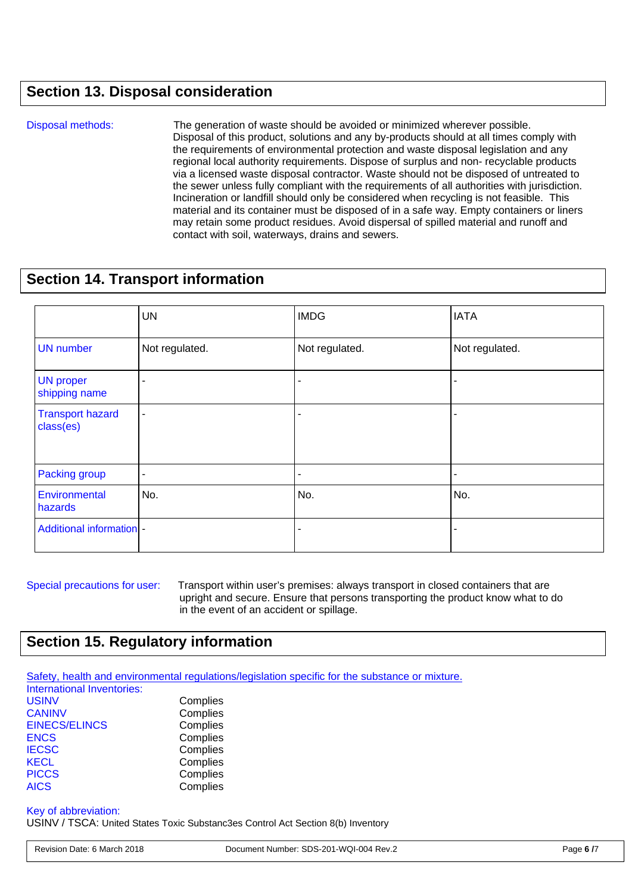# **Section 13. Disposal consideration**

Disposal methods:The generation of waste should be avoided or minimized wherever possible. Disposal of this product, solutions and any by-products should at all times comply with the requirements of environmental protection and waste disposal legislation and any regional local authority requirements. Dispose of surplus and non- recyclable products via a licensed waste disposal contractor. Waste should not be disposed of untreated to the sewer unless fully compliant with the requirements of all authorities with jurisdiction. Incineration or landfill should only be considered when recycling is not feasible. This material and its container must be disposed of in a safe way. Empty containers or liners may retain some product residues. Avoid dispersal of spilled material and runoff and contact with soil, waterways, drains and sewers.

### **Section 14. Transport information**

|                                      | <b>UN</b>      | <b>IMDG</b>    | <b>IATA</b>    |
|--------------------------------------|----------------|----------------|----------------|
| <b>UN</b> number                     | Not regulated. | Not regulated. | Not regulated. |
| <b>UN proper</b><br>shipping name    |                |                |                |
| <b>Transport hazard</b><br>class(es) |                |                |                |
| Packing group                        |                |                |                |
| Environmental<br>hazards             | No.            | No.            | No.            |
| <b>Additional information -</b>      |                |                |                |

Special precautions for user: Transport within user's premises: always transport in closed containers that are upright and secure. Ensure that persons transporting the product know what to do in the event of an accident or spillage.

# **Section 15. Regulatory information**

Safety, health and environmental regulations/legislation specific for the substance or mixture.

| International Inventories: |          |
|----------------------------|----------|
| <b>USINV</b>               | Complies |
| <b>CANINV</b>              | Complies |
| <b>EINECS/ELINCS</b>       | Complies |
| <b>ENCS</b>                | Complies |
| <b>IECSC</b>               | Complies |
| <b>KECL</b>                | Complies |
| <b>PICCS</b>               | Complies |
| <b>AICS</b>                | Complies |
|                            |          |

### Key of abbreviation:

USINV / TSCA: United States Toxic Substanc3es Control Act Section 8(b) Inventory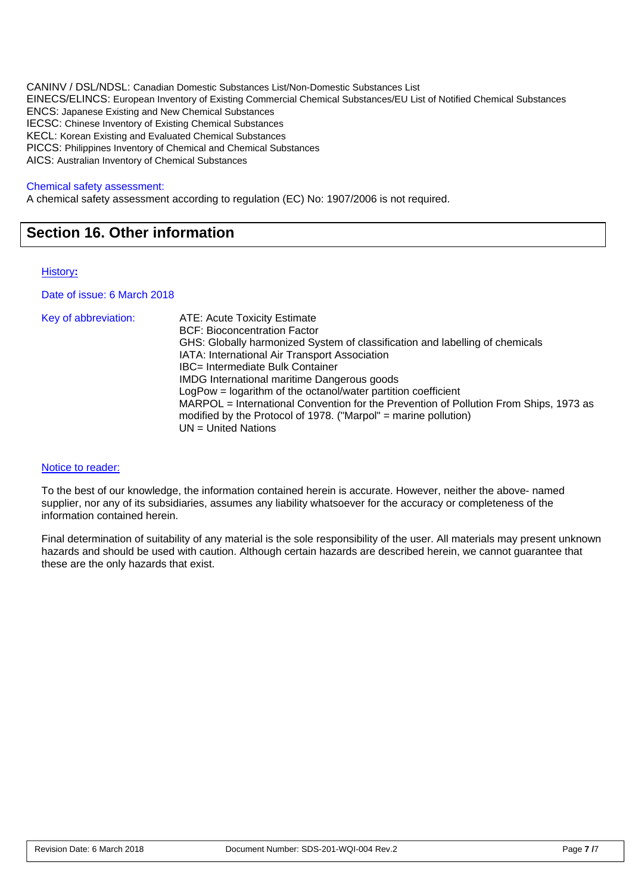CANINV / DSL/NDSL: Canadian Domestic Substances List/Non-Domestic Substances List EINECS/ELINCS: European Inventory of Existing Commercial Chemical Substances/EU List of Notified Chemical Substances ENCS: Japanese Existing and New Chemical Substances IECSC: Chinese Inventory of Existing Chemical Substances KECL: Korean Existing and Evaluated Chemical Substances PICCS: Philippines Inventory of Chemical and Chemical Substances AICS: Australian Inventory of Chemical Substances

#### Chemical safety assessment:

A chemical safety assessment according to regulation (EC) No: 1907/2006 is not required.

# **Section 16. Other information**

#### History**:**

Date of issue: 6 March 2018

| Key of abbreviation: | <b>ATE: Acute Toxicity Estimate</b>                                                                                                                      |
|----------------------|----------------------------------------------------------------------------------------------------------------------------------------------------------|
|                      | <b>BCF: Bioconcentration Factor</b>                                                                                                                      |
|                      | GHS: Globally harmonized System of classification and labelling of chemicals                                                                             |
|                      | IATA: International Air Transport Association                                                                                                            |
|                      | IBC= Intermediate Bulk Container                                                                                                                         |
|                      | <b>IMDG</b> International maritime Dangerous goods                                                                                                       |
|                      | LogPow = logarithm of the octanol/water partition coefficient                                                                                            |
|                      | MARPOL = International Convention for the Prevention of Pollution From Ships, 1973 as<br>modified by the Protocol of 1978. ("Marpol" = marine pollution) |
|                      | $UN = United Nations$                                                                                                                                    |

#### Notice to reader:

To the best of our knowledge, the information contained herein is accurate. However, neither the above- named supplier, nor any of its subsidiaries, assumes any liability whatsoever for the accuracy or completeness of the information contained herein.

Final determination of suitability of any material is the sole responsibility of the user. All materials may present unknown hazards and should be used with caution. Although certain hazards are described herein, we cannot guarantee that these are the only hazards that exist.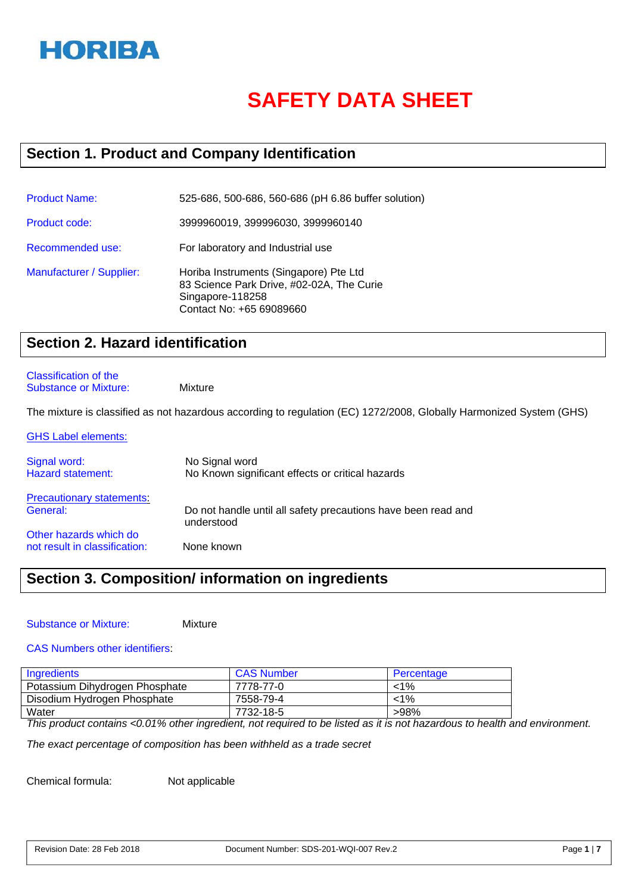

# **SAFETY DATA SHEET**

# **Section 1. Product and Company Identification**

| <b>Product Name:</b>     | 525-686, 500-686, 560-686 (pH 6.86 buffer solution)                                                                                 |
|--------------------------|-------------------------------------------------------------------------------------------------------------------------------------|
| Product code:            | 3999960019, 399996030, 3999960140                                                                                                   |
| Recommended use:         | For laboratory and Industrial use                                                                                                   |
| Manufacturer / Supplier: | Horiba Instruments (Singapore) Pte Ltd<br>83 Science Park Drive, #02-02A, The Curie<br>Singapore-118258<br>Contact No: +65 69089660 |

# **Section 2. Hazard identification**

#### Classification of the Substance or Mixture: Mixture

The mixture is classified as not hazardous according to regulation (EC) 1272/2008, Globally Harmonized System (GHS)

| <b>GHS Label elements:</b>               |                                                                             |
|------------------------------------------|-----------------------------------------------------------------------------|
| Signal word:<br><b>Hazard statement:</b> | No Signal word<br>No Known significant effects or critical hazards          |
| <b>Precautionary statements:</b>         |                                                                             |
| General:                                 | Do not handle until all safety precautions have been read and<br>understood |
| Other hazards which do                   |                                                                             |
| not result in classification:            | None known                                                                  |

# **Section 3. Composition/ information on ingredients**

**Mixture** 

### CAS Numbers other identifiers:

| Ingredients                    | <b>CAS Number</b> | Percentage |
|--------------------------------|-------------------|------------|
| Potassium Dihydrogen Phosphate | 7778-77-0         | $< 1\%$    |
| Disodium Hydrogen Phosphate    | 7558-79-4         | $1\%$      |
| Water                          | 7732-18-5         | >98%       |

*This product contains <0.01% other ingredient, not required to be listed as it is not hazardous to health and environment.* 

*The exact percentage of composition has been withheld as a trade secret*

Chemical formula: Not applicable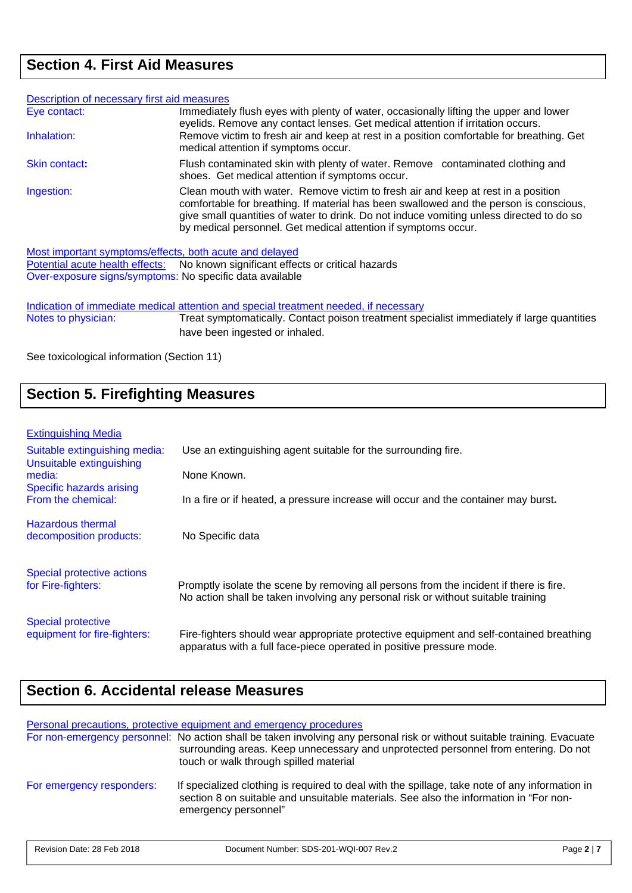# **Section 4. First Aid Measures**

| Description of necessary first aid measures |                                                                                                                                                                                                                                                                                                                                           |
|---------------------------------------------|-------------------------------------------------------------------------------------------------------------------------------------------------------------------------------------------------------------------------------------------------------------------------------------------------------------------------------------------|
| Eye contact:                                | Immediately flush eyes with plenty of water, occasionally lifting the upper and lower<br>eyelids. Remove any contact lenses. Get medical attention if irritation occurs.                                                                                                                                                                  |
| Inhalation:                                 | Remove victim to fresh air and keep at rest in a position comfortable for breathing. Get<br>medical attention if symptoms occur.                                                                                                                                                                                                          |
| <b>Skin contact:</b>                        | Flush contaminated skin with plenty of water. Remove contaminated clothing and<br>shoes. Get medical attention if symptoms occur.                                                                                                                                                                                                         |
| Ingestion:                                  | Clean mouth with water. Remove victim to fresh air and keep at rest in a position<br>comfortable for breathing. If material has been swallowed and the person is conscious,<br>give small quantities of water to drink. Do not induce vomiting unless directed to do so<br>by medical personnel. Get medical attention if symptoms occur. |

Most important symptoms/effects, both acute and delayed

Potential acute health effects: No known significant effects or critical hazards Over-exposure signs/symptoms: No specific data available

Indication of immediate medical attention and special treatment needed, if necessary<br>Notes to physician: Treat symptomatically. Contact poison treatment spe Treat symptomatically. Contact poison treatment specialist immediately if large quantities have been ingested or inhaled.

See toxicological information (Section 11)

# **Section 5. Firefighting Measures**

#### Extinguishing Media

| Suitable extinguishing media:<br>Unsuitable extinguishing | Use an extinguishing agent suitable for the surrounding fire.                                                                                                               |  |
|-----------------------------------------------------------|-----------------------------------------------------------------------------------------------------------------------------------------------------------------------------|--|
| media:<br>Specific hazards arising                        | None Known.                                                                                                                                                                 |  |
| From the chemical:                                        | In a fire or if heated, a pressure increase will occur and the container may burst.                                                                                         |  |
| <b>Hazardous thermal</b><br>decomposition products:       | No Specific data                                                                                                                                                            |  |
| Special protective actions<br>for Fire-fighters:          | Promptly isolate the scene by removing all persons from the incident if there is fire.<br>No action shall be taken involving any personal risk or without suitable training |  |
| <b>Special protective</b><br>equipment for fire-fighters: | Fire-fighters should wear appropriate protective equipment and self-contained breathing<br>apparatus with a full face-piece operated in positive pressure mode.             |  |

# **Section 6. Accidental release Measures**

Personal precautions, protective equipment and emergency procedures

|                           | For non-emergency personnel: No action shall be taken involving any personal risk or without suitable training. Evacuate<br>surrounding areas. Keep unnecessary and unprotected personnel from entering. Do not<br>touch or walk through spilled material |
|---------------------------|-----------------------------------------------------------------------------------------------------------------------------------------------------------------------------------------------------------------------------------------------------------|
| For emergency responders: | If specialized clothing is required to deal with the spillage, take note of any information in<br>section 8 on suitable and unsuitable materials. See also the information in "For non-<br>emergency personnel"                                           |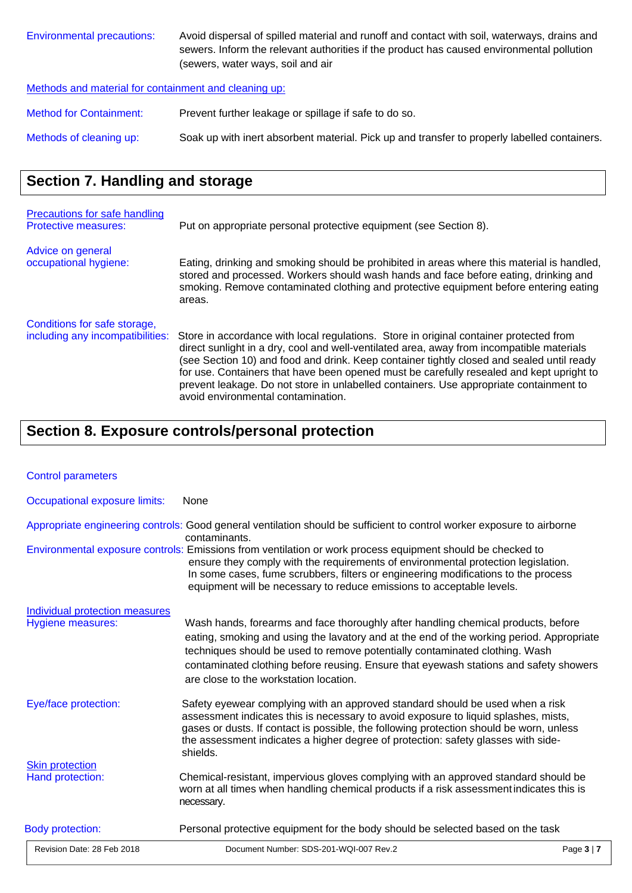| Environmental precautions: | Avoid dispersal of spilled material and runoff and contact with soil, waterways, drains and |
|----------------------------|---------------------------------------------------------------------------------------------|
|                            | sewers. Inform the relevant authorities if the product has caused environmental pollution   |
|                            | (sewers, water ways, soil and air                                                           |
|                            |                                                                                             |

Methods and material for containment and cleaning up:

Method for Containment: Prevent further leakage or spillage if safe to do so.

Methods of cleaning up: Soak up with inert absorbent material. Pick up and transfer to properly labelled containers.

# **Section 7. Handling and storage**

| Precautions for safe handling<br><b>Protective measures:</b>     | Put on appropriate personal protective equipment (see Section 8).                                                                                                                                                                                                                                                                                                                                                                                                                                            |  |
|------------------------------------------------------------------|--------------------------------------------------------------------------------------------------------------------------------------------------------------------------------------------------------------------------------------------------------------------------------------------------------------------------------------------------------------------------------------------------------------------------------------------------------------------------------------------------------------|--|
| Advice on general<br>occupational hygiene:                       | Eating, drinking and smoking should be prohibited in areas where this material is handled,<br>stored and processed. Workers should wash hands and face before eating, drinking and<br>smoking. Remove contaminated clothing and protective equipment before entering eating<br>areas.                                                                                                                                                                                                                        |  |
| Conditions for safe storage,<br>including any incompatibilities: | Store in accordance with local regulations. Store in original container protected from<br>direct sunlight in a dry, cool and well-ventilated area, away from incompatible materials<br>(see Section 10) and food and drink. Keep container tightly closed and sealed until ready<br>for use. Containers that have been opened must be carefully resealed and kept upright to<br>prevent leakage. Do not store in unlabelled containers. Use appropriate containment to<br>avoid environmental contamination. |  |

# **Section 8. Exposure controls/personal protection**

| <b>Control parameters</b>                           |                                                                                                                                                                                                                                                                                                                                                                                                                                                                                                           |                 |
|-----------------------------------------------------|-----------------------------------------------------------------------------------------------------------------------------------------------------------------------------------------------------------------------------------------------------------------------------------------------------------------------------------------------------------------------------------------------------------------------------------------------------------------------------------------------------------|-----------------|
| Occupational exposure limits:                       | None                                                                                                                                                                                                                                                                                                                                                                                                                                                                                                      |                 |
|                                                     | Appropriate engineering controls: Good general ventilation should be sufficient to control worker exposure to airborne<br>contaminants.<br>Environmental exposure controls: Emissions from ventilation or work process equipment should be checked to<br>ensure they comply with the requirements of environmental protection legislation.<br>In some cases, fume scrubbers, filters or engineering modifications to the process<br>equipment will be necessary to reduce emissions to acceptable levels. |                 |
| Individual protection measures<br>Hygiene measures: | Wash hands, forearms and face thoroughly after handling chemical products, before<br>eating, smoking and using the lavatory and at the end of the working period. Appropriate<br>techniques should be used to remove potentially contaminated clothing. Wash<br>contaminated clothing before reusing. Ensure that eyewash stations and safety showers<br>are close to the workstation location.                                                                                                           |                 |
| Eye/face protection:                                | Safety eyewear complying with an approved standard should be used when a risk<br>assessment indicates this is necessary to avoid exposure to liquid splashes, mists,<br>gases or dusts. If contact is possible, the following protection should be worn, unless<br>the assessment indicates a higher degree of protection: safety glasses with side-<br>shields.                                                                                                                                          |                 |
| <b>Skin protection</b><br>Hand protection:          | Chemical-resistant, impervious gloves complying with an approved standard should be<br>worn at all times when handling chemical products if a risk assessment indicates this is<br>necessary.                                                                                                                                                                                                                                                                                                             |                 |
| <b>Body protection:</b>                             | Personal protective equipment for the body should be selected based on the task                                                                                                                                                                                                                                                                                                                                                                                                                           |                 |
| Revision Date: 28 Feb 2018                          | Document Number: SDS-201-WQI-007 Rev.2                                                                                                                                                                                                                                                                                                                                                                                                                                                                    | Page $3 \mid 7$ |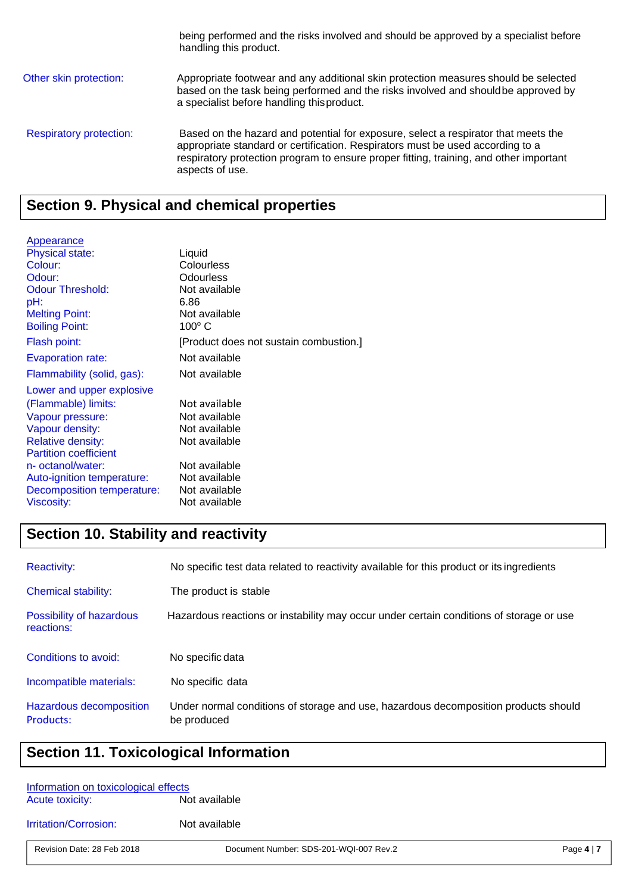handling this product. Other skin protection: Appropriate footwear and any additional skin protection measures should be selected based on the task being performed and the risks involved and should be approved by a specialist before handling this product. Respiratory protection: Based on the hazard and potential for exposure, select a respirator that meets the appropriate standard or certification. Respirators must be used according to a respiratory protection program to ensure proper fitting, training, and other important aspects of use.

being performed and the risks involved and should be approved by a specialist before

### **Section 9. Physical and chemical properties**

| Appearance                   |                                        |
|------------------------------|----------------------------------------|
| <b>Physical state:</b>       | Liquid                                 |
| Colour:                      | Colourless                             |
| Odour:                       | Odourless                              |
| <b>Odour Threshold:</b>      | Not available                          |
| pH:                          | 6.86                                   |
| <b>Melting Point:</b>        | Not available                          |
| <b>Boiling Point:</b>        | $100^\circ$ C                          |
| Flash point:                 | [Product does not sustain combustion.] |
| <b>Evaporation rate:</b>     | Not available                          |
| Flammability (solid, gas):   | Not available                          |
| Lower and upper explosive    |                                        |
| (Flammable) limits:          | Not available                          |
| Vapour pressure:             | Not available                          |
| Vapour density:              | Not available                          |
| <b>Relative density:</b>     | Not available                          |
| <b>Partition coefficient</b> |                                        |
| n- octanol/water:            | Not available                          |
| Auto-ignition temperature:   | Not available                          |
| Decomposition temperature:   | Not available                          |
| <b>Viscosity:</b>            | Not available                          |

# **Section 10. Stability and reactivity**

| <b>Reactivity:</b>                     | No specific test data related to reactivity available for this product or its ingredients |  |
|----------------------------------------|-------------------------------------------------------------------------------------------|--|
| <b>Chemical stability:</b>             | The product is stable                                                                     |  |
| Possibility of hazardous<br>reactions: | Hazardous reactions or instability may occur under certain conditions of storage or use   |  |
| Conditions to avoid:                   | No specific data                                                                          |  |
| Incompatible materials:                |                                                                                           |  |
|                                        | No specific data                                                                          |  |

# **Section 11. Toxicological Information**

| Information on toxicological effects<br><b>Acute toxicity:</b> | Not available |
|----------------------------------------------------------------|---------------|
| <b>Irritation/Corrosion:</b>                                   | Not available |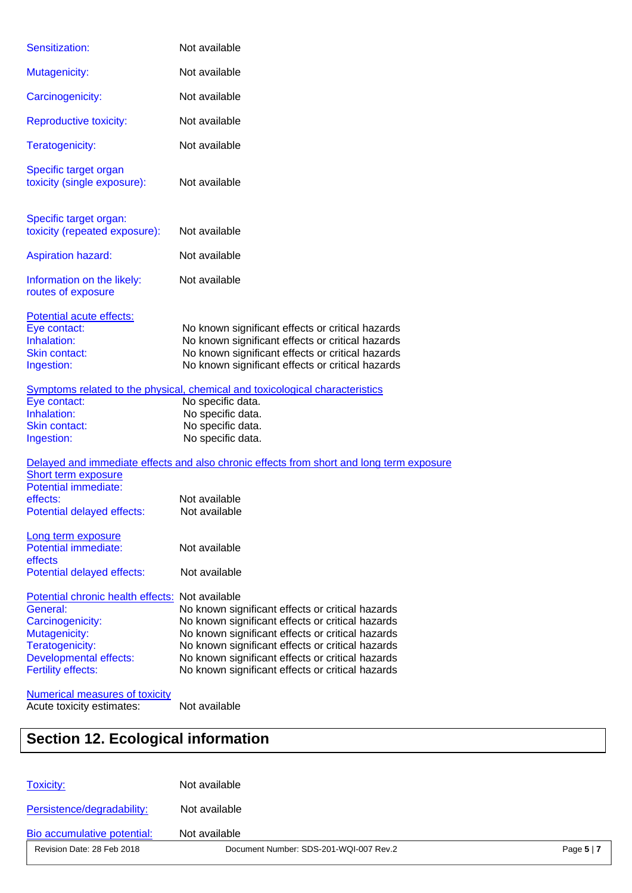| Sensitization:                                                                                                                                                                    | Not available                                                                                                                                                                                                                                                                                                        |
|-----------------------------------------------------------------------------------------------------------------------------------------------------------------------------------|----------------------------------------------------------------------------------------------------------------------------------------------------------------------------------------------------------------------------------------------------------------------------------------------------------------------|
| Mutagenicity:                                                                                                                                                                     | Not available                                                                                                                                                                                                                                                                                                        |
| Carcinogenicity:                                                                                                                                                                  | Not available                                                                                                                                                                                                                                                                                                        |
| <b>Reproductive toxicity:</b>                                                                                                                                                     | Not available                                                                                                                                                                                                                                                                                                        |
| Teratogenicity:                                                                                                                                                                   | Not available                                                                                                                                                                                                                                                                                                        |
| Specific target organ<br>toxicity (single exposure):                                                                                                                              | Not available                                                                                                                                                                                                                                                                                                        |
| Specific target organ:<br>toxicity (repeated exposure):                                                                                                                           | Not available                                                                                                                                                                                                                                                                                                        |
| <b>Aspiration hazard:</b>                                                                                                                                                         | Not available                                                                                                                                                                                                                                                                                                        |
| Information on the likely:<br>routes of exposure                                                                                                                                  | Not available                                                                                                                                                                                                                                                                                                        |
| Potential acute effects:<br>Eye contact:<br>Inhalation:<br><b>Skin contact:</b><br>Ingestion:                                                                                     | No known significant effects or critical hazards<br>No known significant effects or critical hazards<br>No known significant effects or critical hazards<br>No known significant effects or critical hazards                                                                                                         |
| Eye contact:<br>Inhalation:                                                                                                                                                       | Symptoms related to the physical, chemical and toxicological characteristics<br>No specific data.<br>No specific data.                                                                                                                                                                                               |
| Skin contact:<br>Ingestion:                                                                                                                                                       | No specific data.<br>No specific data.                                                                                                                                                                                                                                                                               |
|                                                                                                                                                                                   | Delayed and immediate effects and also chronic effects from short and long term exposure                                                                                                                                                                                                                             |
| <b>Short term exposure</b><br><b>Potential immediate:</b><br>effects:<br>Potential delayed effects:                                                                               | Not available<br>Not available                                                                                                                                                                                                                                                                                       |
| Long term exposure<br><b>Potential immediate:</b>                                                                                                                                 | Not available                                                                                                                                                                                                                                                                                                        |
| effects<br>Potential delayed effects:                                                                                                                                             | Not available                                                                                                                                                                                                                                                                                                        |
| Potential chronic health effects: Not available<br>General:<br>Carcinogenicity:<br>Mutagenicity:<br>Teratogenicity:<br><b>Developmental effects:</b><br><b>Fertility effects:</b> | No known significant effects or critical hazards<br>No known significant effects or critical hazards<br>No known significant effects or critical hazards<br>No known significant effects or critical hazards<br>No known significant effects or critical hazards<br>No known significant effects or critical hazards |
| Numerical measures of toxicity<br>Acute toxicity estimates:                                                                                                                       | Not available                                                                                                                                                                                                                                                                                                        |

| <b>Section 12. Ecological information</b> |               |  |
|-------------------------------------------|---------------|--|
|                                           |               |  |
| <b>Toxicity:</b>                          | Not available |  |
| Persistence/degradability:                | Not available |  |
| Bio accumulative potential:               | Not available |  |

Revision Date: 28 Feb 2018 Document Number: SDS-201-WQI-007 Rev.2 Page **5** | **7**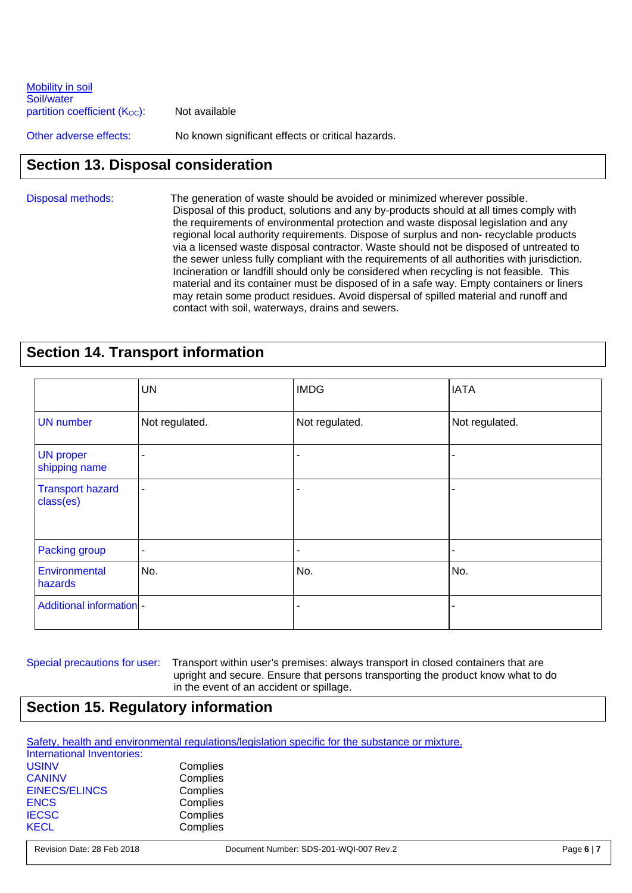| Mobility in soil<br>Soil/water |                                                   |
|--------------------------------|---------------------------------------------------|
| partition coefficient (Koc):   | Not available                                     |
| Other adverse effects:         | No known significant effects or critical hazards. |

### **Section 13. Disposal consideration**

#### Disposal methods:The generation of waste should be avoided or minimized wherever possible. Disposal of this product, solutions and any by-products should at all times comply with the requirements of environmental protection and waste disposal legislation and any regional local authority requirements. Dispose of surplus and non- recyclable products via a licensed waste disposal contractor. Waste should not be disposed of untreated to the sewer unless fully compliant with the requirements of all authorities with jurisdiction. Incineration or landfill should only be considered when recycling is not feasible. This material and its container must be disposed of in a safe way. Empty containers or liners may retain some product residues. Avoid dispersal of spilled material and runoff and contact with soil, waterways, drains and sewers.

### **Section 14. Transport information**

|                                      | <b>UN</b>      | <b>IMDG</b>    | <b>IATA</b>    |
|--------------------------------------|----------------|----------------|----------------|
| <b>UN</b> number                     | Not regulated. | Not regulated. | Not regulated. |
| <b>UN proper</b><br>shipping name    |                |                |                |
| <b>Transport hazard</b><br>class(es) | $\blacksquare$ |                |                |
| Packing group                        |                |                |                |
| Environmental<br>hazards             | No.            | No.            | No.            |
| <b>Additional information -</b>      |                |                |                |

Special precautions for user: Transport within user's premises: always transport in closed containers that are upright and secure. Ensure that persons transporting the product know what to do in the event of an accident or spillage.

# **Section 15. Regulatory information**

| Safety, health and environmental regulations/legislation specific for the substance or mixture. |
|-------------------------------------------------------------------------------------------------|
|-------------------------------------------------------------------------------------------------|

| International Inventories: |          |
|----------------------------|----------|
| <b>USINV</b>               | Complies |
| <b>CANINV</b>              | Complies |
| <b>EINECS/ELINCS</b>       | Complies |
| <b>ENCS</b>                | Complies |
| <b>IECSC</b>               | Complies |
| <b>KECL</b>                | Complies |
|                            |          |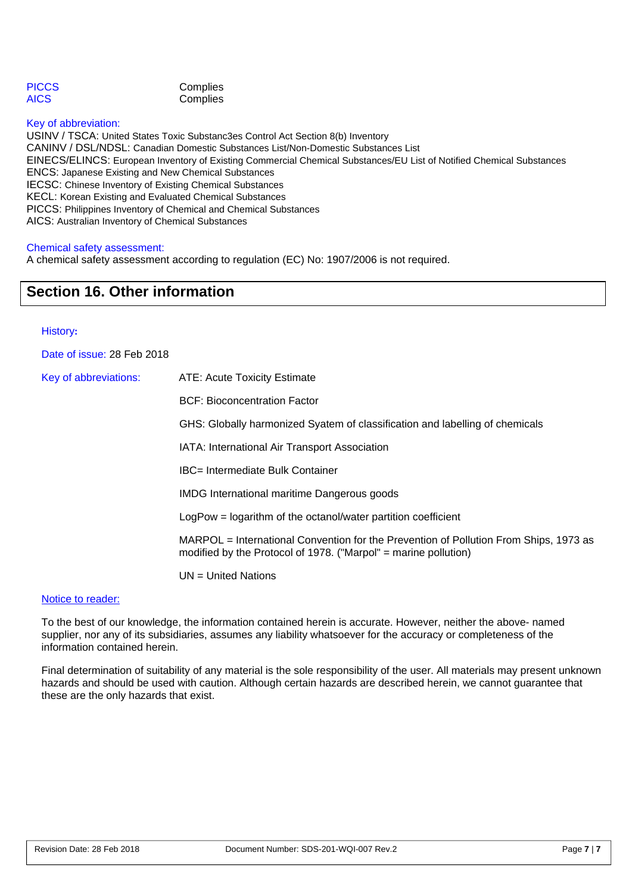| <b>PICCS</b> | Complies |
|--------------|----------|
| AICS         | Complies |

#### Key of abbreviation:

USINV / TSCA: United States Toxic Substanc3es Control Act Section 8(b) Inventory CANINV / DSL/NDSL: Canadian Domestic Substances List/Non-Domestic Substances List EINECS/ELINCS: European Inventory of Existing Commercial Chemical Substances/EU List of Notified Chemical Substances ENCS: Japanese Existing and New Chemical Substances IECSC: Chinese Inventory of Existing Chemical Substances KECL: Korean Existing and Evaluated Chemical Substances PICCS: Philippines Inventory of Chemical and Chemical Substances AICS: Australian Inventory of Chemical Substances

#### Chemical safety assessment:

A chemical safety assessment according to regulation (EC) No: 1907/2006 is not required.

### **Section 16. Other information**

#### History**:**

Date of issue: 28 Feb 2018

| Key of abbreviations: | <b>ATE: Acute Toxicity Estimate</b>                                                                                                                      |
|-----------------------|----------------------------------------------------------------------------------------------------------------------------------------------------------|
|                       | <b>BCF: Bioconcentration Factor</b>                                                                                                                      |
|                       | GHS: Globally harmonized Syatem of classification and labelling of chemicals                                                                             |
|                       | IATA: International Air Transport Association                                                                                                            |
|                       | <b>IBC= Intermediate Bulk Container</b>                                                                                                                  |
|                       | <b>IMDG</b> International maritime Dangerous goods                                                                                                       |
|                       | $LogPow = logarithm$ of the octanol/water partition coefficient                                                                                          |
|                       | MARPOL = International Convention for the Prevention of Pollution From Ships, 1973 as<br>modified by the Protocol of 1978. ("Marpol" = marine pollution) |
|                       | $UN = United Nations$                                                                                                                                    |

#### Notice to reader:

To the best of our knowledge, the information contained herein is accurate. However, neither the above- named supplier, nor any of its subsidiaries, assumes any liability whatsoever for the accuracy or completeness of the information contained herein.

Final determination of suitability of any material is the sole responsibility of the user. All materials may present unknown hazards and should be used with caution. Although certain hazards are described herein, we cannot guarantee that these are the only hazards that exist.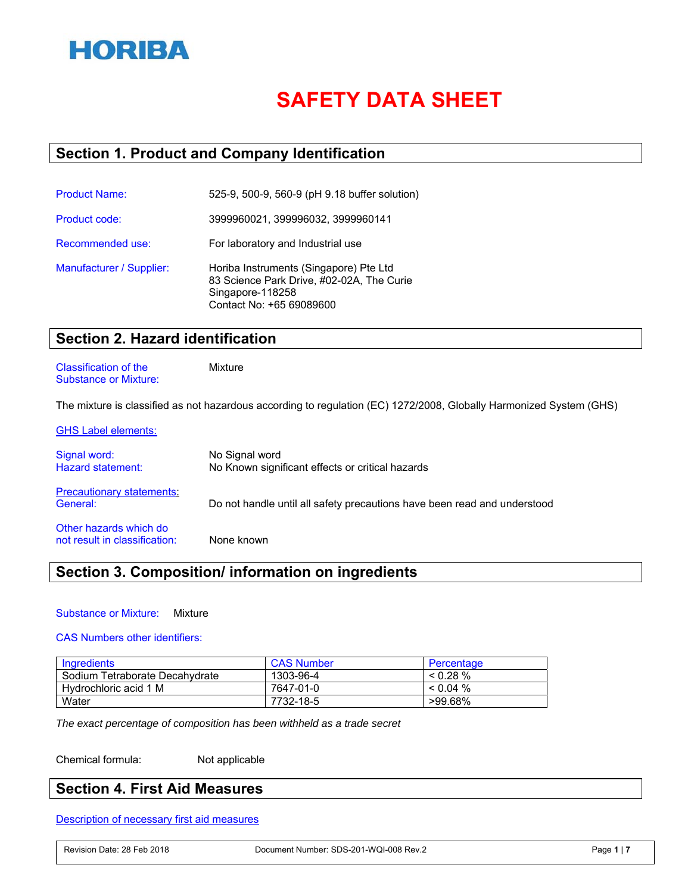

# **SAFETY DATA SHEET**

### **Section 1. Product and Company Identification**

| <b>Product Name:</b>     | 525-9, 500-9, 560-9 (pH 9.18 buffer solution)                                                                                       |
|--------------------------|-------------------------------------------------------------------------------------------------------------------------------------|
| Product code:            | 3999960021, 399996032, 3999960141                                                                                                   |
| Recommended use:         | For laboratory and Industrial use                                                                                                   |
| Manufacturer / Supplier: | Horiba Instruments (Singapore) Pte Ltd<br>83 Science Park Drive, #02-02A, The Curie<br>Singapore-118258<br>Contact No: +65 69089600 |

### **Section 2. Hazard identification**

Classification of the Mixture Substance or Mixture:

The mixture is classified as not hazardous according to regulation (EC) 1272/2008, Globally Harmonized System (GHS)

| <b>GHS Label elements:</b>                              |                                                                          |
|---------------------------------------------------------|--------------------------------------------------------------------------|
| Signal word:<br><b>Hazard statement:</b>                | No Signal word<br>No Known significant effects or critical hazards       |
| <b>Precautionary statements:</b><br>General:            | Do not handle until all safety precautions have been read and understood |
| Other hazards which do<br>not result in classification: | None known                                                               |

### **Section 3. Composition/ information on ingredients**

#### Substance or Mixture: Mixture

#### CAS Numbers other identifiers:

| Ingredients                    | <b>CAS Number</b> | Percentage  |
|--------------------------------|-------------------|-------------|
| Sodium Tetraborate Decahydrate | 1303-96-4         | $< 0.28\%$  |
| Hydrochloric acid 1 M          | 7647-01-0         | $< 0.04 \%$ |
| Water                          | 7732-18-5         | >99.68%     |

*The exact percentage of composition has been withheld as a trade secret*

Chemical formula: Not applicable

### **Section 4. First Aid Measures**

Description of necessary first aid measures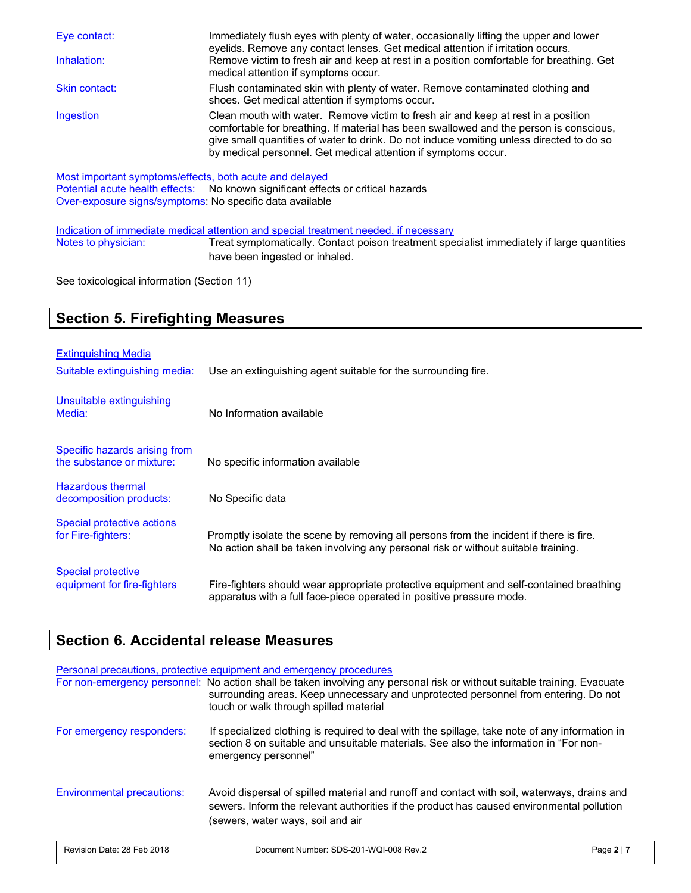| Eye contact:<br>Inhalation: | Immediately flush eyes with plenty of water, occasionally lifting the upper and lower<br>eyelids. Remove any contact lenses. Get medical attention if irritation occurs.<br>Remove victim to fresh air and keep at rest in a position comfortable for breathing. Get<br>medical attention if symptoms occur.                              |
|-----------------------------|-------------------------------------------------------------------------------------------------------------------------------------------------------------------------------------------------------------------------------------------------------------------------------------------------------------------------------------------|
| Skin contact:               | Flush contaminated skin with plenty of water. Remove contaminated clothing and<br>shoes. Get medical attention if symptoms occur.                                                                                                                                                                                                         |
| Ingestion                   | Clean mouth with water. Remove victim to fresh air and keep at rest in a position<br>comfortable for breathing. If material has been swallowed and the person is conscious,<br>give small quantities of water to drink. Do not induce vomiting unless directed to do so<br>by medical personnel. Get medical attention if symptoms occur. |

Most important symptoms/effects, both acute and delayed<br>Potential acute health effects: No known significant effects No known significant effects or critical hazards Over-exposure signs/symptoms: No specific data available

Indication of immediate medical attention and special treatment needed, if necessary Notes to physician: Treat symptomatically. Contact poison treatment specialist immediately if large quantities have been ingested or inhaled.

See toxicological information (Section 11)

### **Section 5. Firefighting Measures**

| <b>Extinguishing Media</b><br>Suitable extinguishing media: | Use an extinguishing agent suitable for the surrounding fire.                                                                                                                |
|-------------------------------------------------------------|------------------------------------------------------------------------------------------------------------------------------------------------------------------------------|
| Unsuitable extinguishing<br>Media:                          | No Information available                                                                                                                                                     |
| Specific hazards arising from<br>the substance or mixture:  | No specific information available                                                                                                                                            |
| <b>Hazardous thermal</b><br>decomposition products:         | No Specific data                                                                                                                                                             |
| Special protective actions<br>for Fire-fighters:            | Promptly isolate the scene by removing all persons from the incident if there is fire.<br>No action shall be taken involving any personal risk or without suitable training. |
| <b>Special protective</b><br>equipment for fire-fighters    | Fire-fighters should wear appropriate protective equipment and self-contained breathing<br>apparatus with a full face-piece operated in positive pressure mode.              |

### **Section 6. Accidental release Measures**

### Personal precautions, protective equipment and emergency procedures For non-emergency personnel: No action shall be taken involving any personal risk or without suitable training. Evacuate surrounding areas. Keep unnecessary and unprotected personnel from entering. Do not touch or walk through spilled material For emergency responders: If specialized clothing is required to deal with the spillage, take note of any information in section 8 on suitable and unsuitable materials. See also the information in "For nonemergency personnel" Environmental precautions: Avoid dispersal of spilled material and runoff and contact with soil, waterways, drains and sewers. Inform the relevant authorities if the product has caused environmental pollution (sewers, water ways, soil and air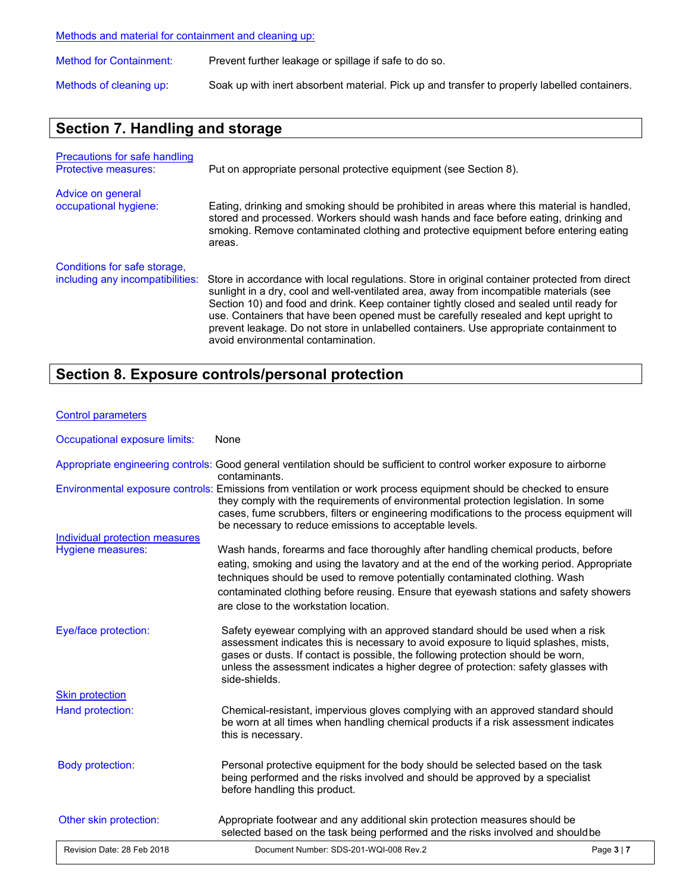Methods and material for containment and cleaning up:

| <b>Method for Containment:</b> | Prevent further leakage or spillage if safe to do so.                                        |
|--------------------------------|----------------------------------------------------------------------------------------------|
| Methods of cleaning up:        | Soak up with inert absorbent material. Pick up and transfer to properly labelled containers. |

# **Section 7. Handling and storage**

| <b>Precautions for safe handling</b><br><b>Protective measures:</b> | Put on appropriate personal protective equipment (see Section 8).                                                                                                                                                                                                                                                                                                                                                                                                                                            |
|---------------------------------------------------------------------|--------------------------------------------------------------------------------------------------------------------------------------------------------------------------------------------------------------------------------------------------------------------------------------------------------------------------------------------------------------------------------------------------------------------------------------------------------------------------------------------------------------|
| Advice on general<br>occupational hygiene:                          | Eating, drinking and smoking should be prohibited in areas where this material is handled,<br>stored and processed. Workers should wash hands and face before eating, drinking and<br>smoking. Remove contaminated clothing and protective equipment before entering eating<br>areas.                                                                                                                                                                                                                        |
| Conditions for safe storage,<br>including any incompatibilities:    | Store in accordance with local regulations. Store in original container protected from direct<br>sunlight in a dry, cool and well-ventilated area, away from incompatible materials (see<br>Section 10) and food and drink. Keep container tightly closed and sealed until ready for<br>use. Containers that have been opened must be carefully resealed and kept upright to<br>prevent leakage. Do not store in unlabelled containers. Use appropriate containment to<br>avoid environmental contamination. |

# **Section 8. Exposure controls/personal protection**

#### Control parameters

| Occupational exposure limits:  | None                                                                                                                                                                                                                                                                                                                                                                                            |
|--------------------------------|-------------------------------------------------------------------------------------------------------------------------------------------------------------------------------------------------------------------------------------------------------------------------------------------------------------------------------------------------------------------------------------------------|
|                                | Appropriate engineering controls: Good general ventilation should be sufficient to control worker exposure to airborne<br>contaminants.                                                                                                                                                                                                                                                         |
|                                | Environmental exposure controls: Emissions from ventilation or work process equipment should be checked to ensure<br>they comply with the requirements of environmental protection legislation. In some<br>cases, fume scrubbers, filters or engineering modifications to the process equipment will<br>be necessary to reduce emissions to acceptable levels.                                  |
| Individual protection measures |                                                                                                                                                                                                                                                                                                                                                                                                 |
| Hygiene measures:              | Wash hands, forearms and face thoroughly after handling chemical products, before<br>eating, smoking and using the lavatory and at the end of the working period. Appropriate<br>techniques should be used to remove potentially contaminated clothing. Wash<br>contaminated clothing before reusing. Ensure that eyewash stations and safety showers<br>are close to the workstation location. |
| Eye/face protection:           | Safety eyewear complying with an approved standard should be used when a risk<br>assessment indicates this is necessary to avoid exposure to liquid splashes, mists,<br>gases or dusts. If contact is possible, the following protection should be worn,<br>unless the assessment indicates a higher degree of protection: safety glasses with<br>side-shields.                                 |
| <b>Skin protection</b>         |                                                                                                                                                                                                                                                                                                                                                                                                 |
| Hand protection:               | Chemical-resistant, impervious gloves complying with an approved standard should<br>be worn at all times when handling chemical products if a risk assessment indicates<br>this is necessary.                                                                                                                                                                                                   |
| <b>Body protection:</b>        | Personal protective equipment for the body should be selected based on the task<br>being performed and the risks involved and should be approved by a specialist<br>before handling this product.                                                                                                                                                                                               |
| Other skin protection:         | Appropriate footwear and any additional skin protection measures should be<br>selected based on the task being performed and the risks involved and should be                                                                                                                                                                                                                                   |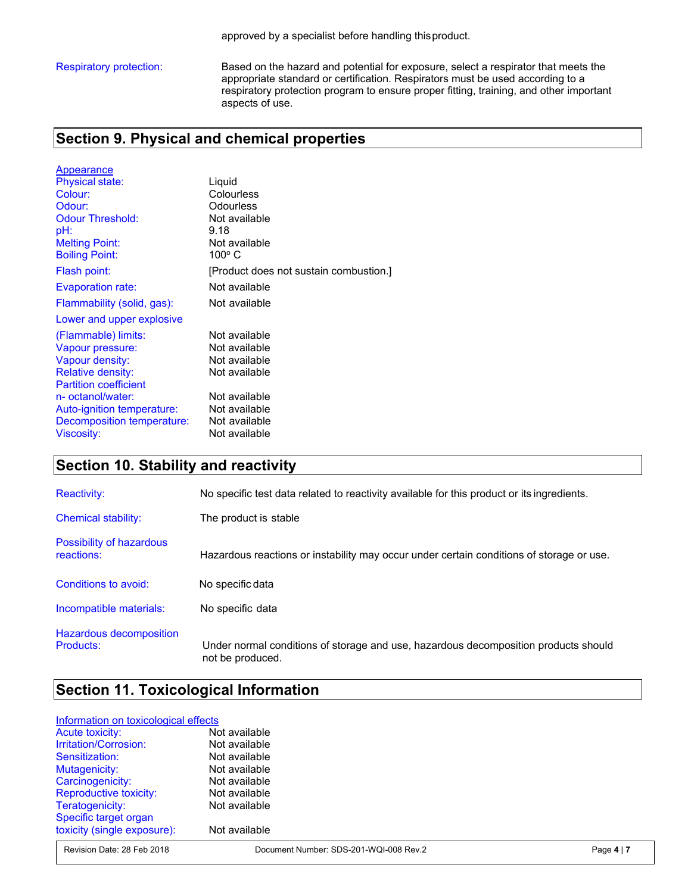Respiratory protection: Based on the hazard and potential for exposure, select a respirator that meets the appropriate standard or certification. Respirators must be used according to a respiratory protection program to ensure proper fitting, training, and other important aspects of use.

### **Section 9. Physical and chemical properties**

| Appearance                   |                                        |
|------------------------------|----------------------------------------|
| <b>Physical state:</b>       | Liquid                                 |
| Colour:                      | Colourless                             |
| Odour:                       | Odourless                              |
| <b>Odour Threshold:</b>      | Not available                          |
| pH:                          | 9.18                                   |
| <b>Melting Point:</b>        | Not available                          |
| <b>Boiling Point:</b>        | 100° C                                 |
| Flash point:                 | [Product does not sustain combustion.] |
| Evaporation rate:            | Not available                          |
| Flammability (solid, gas):   | Not available                          |
| Lower and upper explosive    |                                        |
| (Flammable) limits:          | Not available                          |
| Vapour pressure:             | Not available                          |
| Vapour density:              | Not available                          |
| <b>Relative density:</b>     | Not available                          |
| <b>Partition coefficient</b> |                                        |
| n- octanol/water:            | Not available                          |
| Auto-ignition temperature:   | Not available                          |
| Decomposition temperature:   | Not available                          |
| Viscosity:                   | Not available                          |

### **Section 10. Stability and reactivity**

| <b>Reactivity:</b>                     | No specific test data related to reactivity available for this product or its ingredients.              |
|----------------------------------------|---------------------------------------------------------------------------------------------------------|
| <b>Chemical stability:</b>             | The product is stable                                                                                   |
| Possibility of hazardous<br>reactions: | Hazardous reactions or instability may occur under certain conditions of storage or use.                |
| Conditions to avoid:                   | No specific data                                                                                        |
| Incompatible materials:                | No specific data                                                                                        |
| Hazardous decomposition<br>Products:   | Under normal conditions of storage and use, hazardous decomposition products should<br>not be produced. |

### **Section 11. Toxicological Information**

#### Information on toxicological effects

| <b>Acute toxicity:</b>        | Not available |
|-------------------------------|---------------|
| Irritation/Corrosion:         | Not available |
| Sensitization:                | Not available |
| Mutagenicity:                 | Not available |
| Carcinogenicity:              | Not available |
| <b>Reproductive toxicity:</b> | Not available |
| Teratogenicity:               | Not available |
| Specific target organ         |               |
| toxicity (single exposure):   | Not available |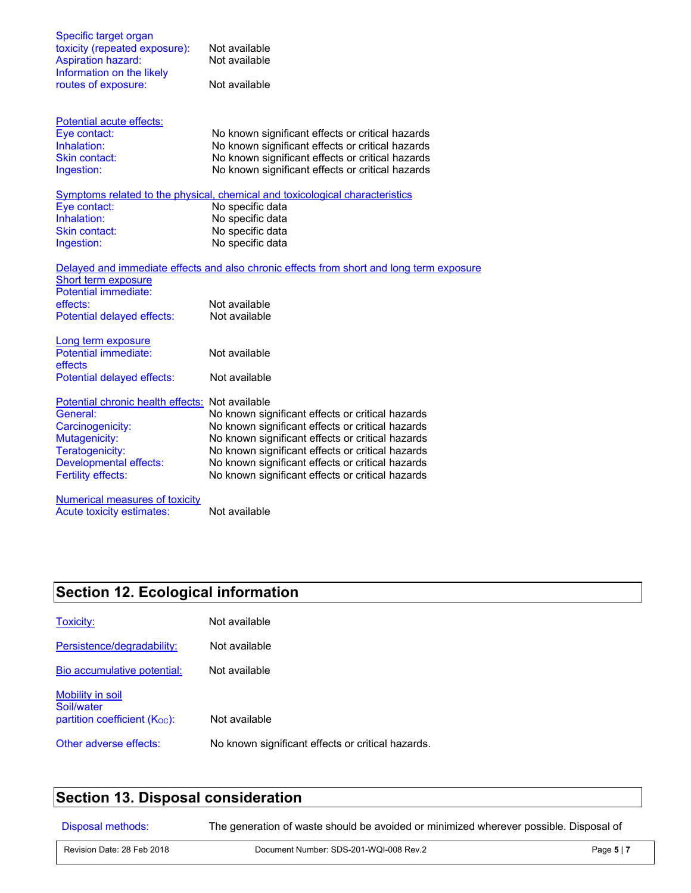| Specific target organ                           |                                                                                          |
|-------------------------------------------------|------------------------------------------------------------------------------------------|
| toxicity (repeated exposure):                   | Not available                                                                            |
| <b>Aspiration hazard:</b>                       | Not available                                                                            |
| Information on the likely                       |                                                                                          |
| routes of exposure:                             | Not available                                                                            |
| Potential acute effects:                        |                                                                                          |
| Eye contact:                                    | No known significant effects or critical hazards                                         |
| Inhalation:                                     | No known significant effects or critical hazards                                         |
| <b>Skin contact:</b>                            | No known significant effects or critical hazards                                         |
| Ingestion:                                      | No known significant effects or critical hazards                                         |
|                                                 | Symptoms related to the physical, chemical and toxicological characteristics             |
| Eye contact:                                    | No specific data                                                                         |
| Inhalation:                                     | No specific data                                                                         |
| Skin contact:                                   | No specific data                                                                         |
| Ingestion:                                      | No specific data                                                                         |
|                                                 | Delayed and immediate effects and also chronic effects from short and long term exposure |
| Short term exposure                             |                                                                                          |
| Potential immediate:                            |                                                                                          |
| effects:                                        | Not available                                                                            |
| Potential delayed effects:                      | Not available                                                                            |
| Long term exposure                              |                                                                                          |
| <b>Potential immediate:</b>                     | Not available                                                                            |
| effects                                         |                                                                                          |
| Potential delayed effects:                      | Not available                                                                            |
| Potential chronic health effects: Not available |                                                                                          |
| General:                                        | No known significant effects or critical hazards                                         |
| Carcinogenicity:                                | No known significant effects or critical hazards                                         |
| Mutagenicity:                                   | No known significant effects or critical hazards                                         |
| Teratogenicity:                                 | No known significant effects or critical hazards                                         |
| <b>Developmental effects:</b>                   | No known significant effects or critical hazards                                         |
| <b>Fertility effects:</b>                       | No known significant effects or critical hazards                                         |
| Numerical measures of toxicity                  |                                                                                          |
| Acute toxicity estimates:                       | Not available                                                                            |

# **Section 12. Ecological information**

| Toxicity:                                                            | Not available                                     |
|----------------------------------------------------------------------|---------------------------------------------------|
| Persistence/degradability:                                           | Not available                                     |
| Bio accumulative potential:                                          | Not available                                     |
| Mobility in soil<br>Soil/water<br>partition coefficient $(K_{OC})$ : | Not available                                     |
| Other adverse effects:                                               | No known significant effects or critical hazards. |

# **Section 13. Disposal consideration**

Disposal methods: The generation of waste should be avoided or minimized wherever possible. Disposal of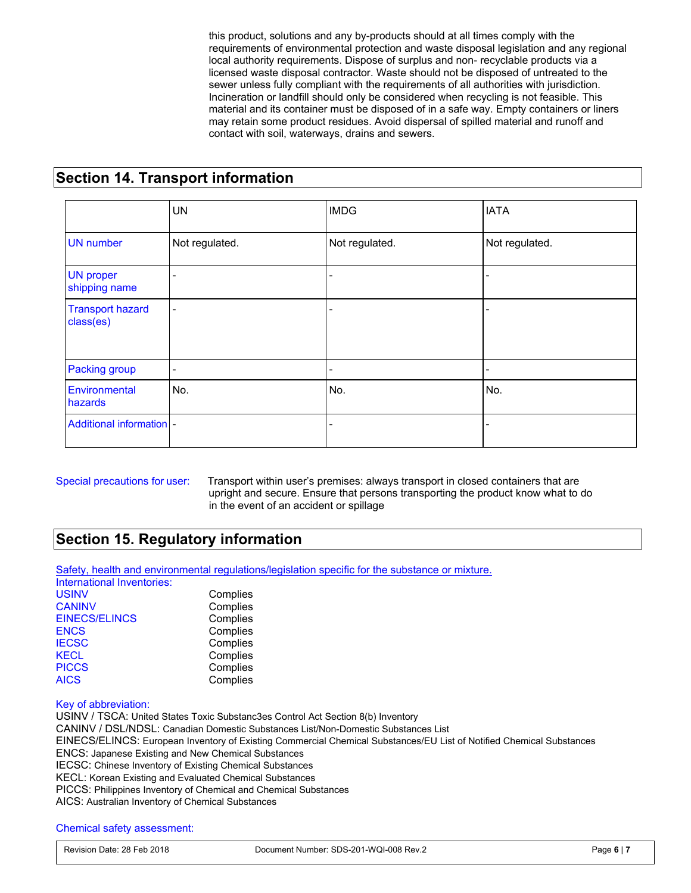this product, solutions and any by-products should at all times comply with the requirements of environmental protection and waste disposal legislation and any regional local authority requirements. Dispose of surplus and non- recyclable products via a licensed waste disposal contractor. Waste should not be disposed of untreated to the sewer unless fully compliant with the requirements of all authorities with jurisdiction. Incineration or landfill should only be considered when recycling is not feasible. This material and its container must be disposed of in a safe way. Empty containers or liners may retain some product residues. Avoid dispersal of spilled material and runoff and contact with soil, waterways, drains and sewers.

### **Section 14. Transport information**

|                                      | <b>UN</b>      | <b>IMDG</b>    | <b>IATA</b>    |
|--------------------------------------|----------------|----------------|----------------|
| <b>UN</b> number                     | Not regulated. | Not regulated. | Not regulated. |
| <b>UN proper</b><br>shipping name    | ۰              |                |                |
| <b>Transport hazard</b><br>class(es) | $\blacksquare$ |                |                |
| <b>Packing group</b>                 | ٠              |                |                |
| Environmental<br>hazards             | No.            | No.            | No.            |
| Additional information -             |                |                |                |

Special precautions for user: Transport within user's premises: always transport in closed containers that are upright and secure. Ensure that persons transporting the product know what to do in the event of an accident or spillage

### **Section 15. Regulatory information**

Safety, health and environmental regulations/legislation specific for the substance or mixture.

| International Inventories: |          |
|----------------------------|----------|
| <b>USINV</b>               | Complies |
| <b>CANINV</b>              | Complies |
| <b>EINECS/ELINCS</b>       | Complies |
| <b>ENCS</b>                | Complies |
| <b>IECSC</b>               | Complies |
| <b>KECL</b>                | Complies |
| <b>PICCS</b>               | Complies |
| <b>AICS</b>                | Complies |

#### Key of abbreviation:

USINV / TSCA: United States Toxic Substanc3es Control Act Section 8(b) Inventory CANINV / DSL/NDSL: Canadian Domestic Substances List/Non-Domestic Substances List EINECS/ELINCS: European Inventory of Existing Commercial Chemical Substances/EU List of Notified Chemical Substances ENCS: Japanese Existing and New Chemical Substances IECSC: Chinese Inventory of Existing Chemical Substances KECL: Korean Existing and Evaluated Chemical Substances PICCS: Philippines Inventory of Chemical and Chemical Substances AICS: Australian Inventory of Chemical Substances

Chemical safety assessment: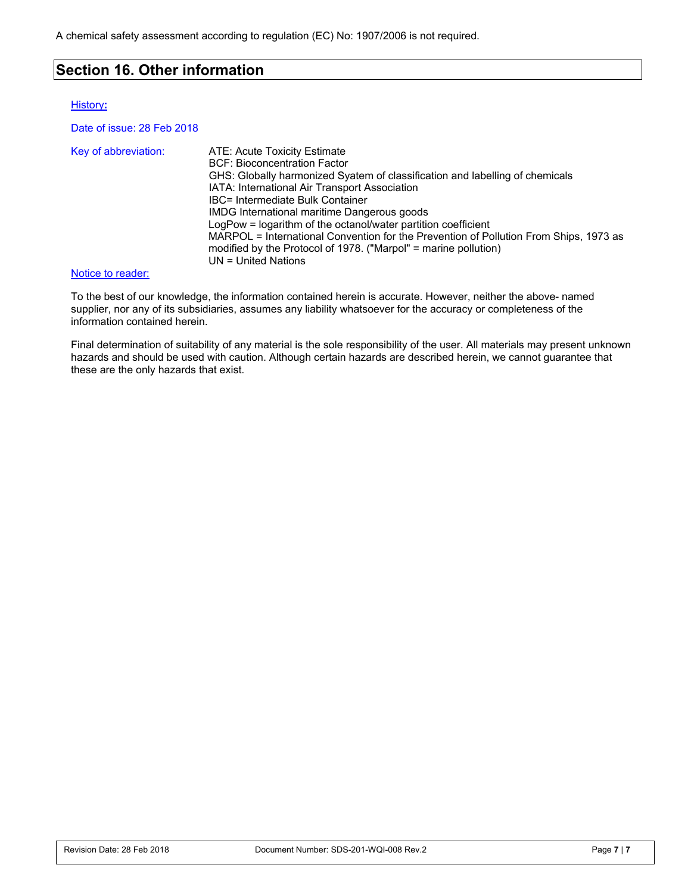### **Section 16. Other information**

#### History**:**

Date of issue: 28 Feb 2018

| Key of abbreviation: | ATE: Acute Toxicity Estimate<br><b>BCF: Bioconcentration Factor</b>                   |
|----------------------|---------------------------------------------------------------------------------------|
|                      |                                                                                       |
|                      | GHS: Globally harmonized Syatem of classification and labelling of chemicals          |
|                      | IATA: International Air Transport Association                                         |
|                      | IBC= Intermediate Bulk Container                                                      |
|                      | <b>IMDG</b> International maritime Dangerous goods                                    |
|                      | LogPow = logarithm of the octanol/water partition coefficient                         |
|                      | MARPOL = International Convention for the Prevention of Pollution From Ships, 1973 as |
|                      | modified by the Protocol of 1978. ("Marpol" = marine pollution)                       |
|                      | $UN = United Nations$                                                                 |

#### Notice to reader:

To the best of our knowledge, the information contained herein is accurate. However, neither the above- named supplier, nor any of its subsidiaries, assumes any liability whatsoever for the accuracy or completeness of the information contained herein.

Final determination of suitability of any material is the sole responsibility of the user. All materials may present unknown hazards and should be used with caution. Although certain hazards are described herein, we cannot guarantee that these are the only hazards that exist.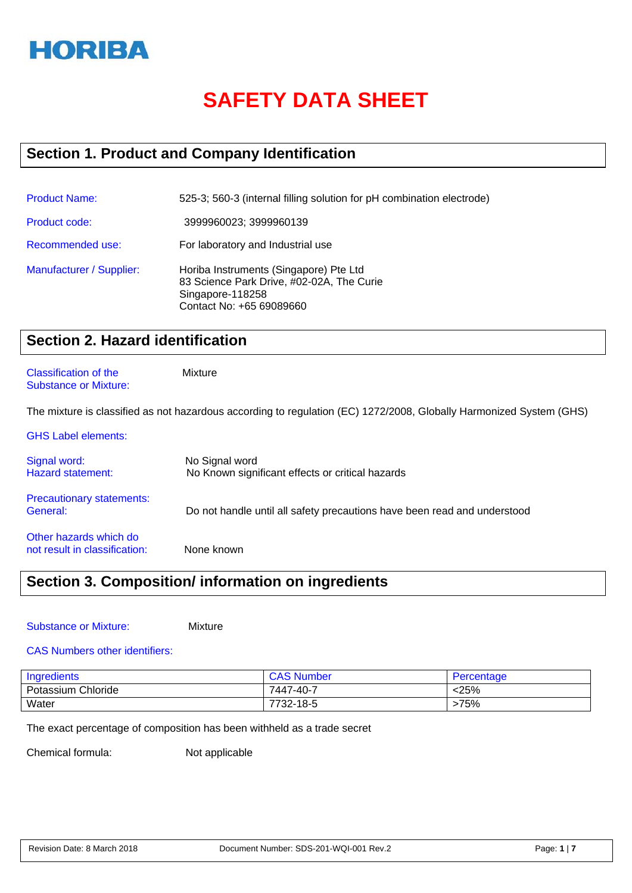

# **SAFETY DATA SHEET**

# **Section 1. Product and Company Identification**

| <b>Product Name:</b>     | 525-3; 560-3 (internal filling solution for pH combination electrode)                                                               |
|--------------------------|-------------------------------------------------------------------------------------------------------------------------------------|
| <b>Product code:</b>     | 3999960023; 3999960139                                                                                                              |
| Recommended use:         | For laboratory and Industrial use                                                                                                   |
| Manufacturer / Supplier: | Horiba Instruments (Singapore) Pte Ltd<br>83 Science Park Drive, #02-02A, The Curie<br>Singapore-118258<br>Contact No: +65 69089660 |

# **Section 2. Hazard identification**

#### Classification of the Mixture Substance or Mixture:

The mixture is classified as not hazardous according to regulation (EC) 1272/2008, Globally Harmonized System (GHS)

| <b>GHS Label elements:</b>                              |                                                                          |
|---------------------------------------------------------|--------------------------------------------------------------------------|
| Signal word:<br><b>Hazard statement:</b>                | No Signal word<br>No Known significant effects or critical hazards       |
| <b>Precautionary statements:</b><br>General:            | Do not handle until all safety precautions have been read and understood |
| Other hazards which do<br>not result in classification: | None known                                                               |

# **Section 3. Composition/ information on ingredients**

Substance or Mixture: Mixture

#### CAS Numbers other identifiers:

| Ingredients        | <b>CAS Number</b> | Percentage |
|--------------------|-------------------|------------|
| Potassium Chloride | 7447-40-7         | <25%       |
| Water              | 7732-18-5         | >75%       |

The exact percentage of composition has been withheld as a trade secret

Chemical formula: Not applicable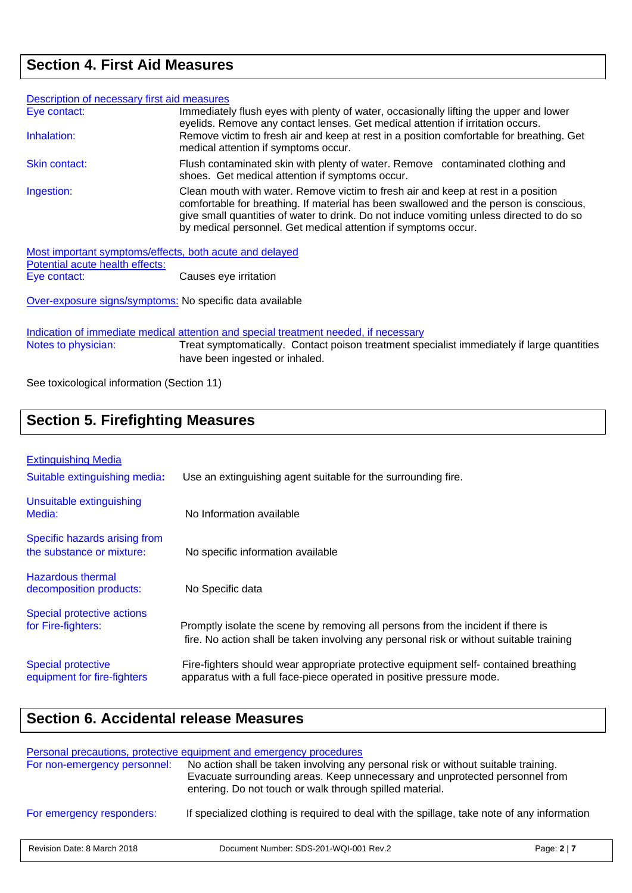# **Section 4. First Aid Measures**

| Description of necessary first aid measures                                                |                                                                                                                                                                                                                                                                                                                                           |
|--------------------------------------------------------------------------------------------|-------------------------------------------------------------------------------------------------------------------------------------------------------------------------------------------------------------------------------------------------------------------------------------------------------------------------------------------|
| Eye contact:                                                                               | Immediately flush eyes with plenty of water, occasionally lifting the upper and lower<br>eyelids. Remove any contact lenses. Get medical attention if irritation occurs.                                                                                                                                                                  |
| Inhalation:                                                                                | Remove victim to fresh air and keep at rest in a position comfortable for breathing. Get<br>medical attention if symptoms occur.                                                                                                                                                                                                          |
| Skin contact:                                                                              | Flush contaminated skin with plenty of water. Remove contaminated clothing and<br>shoes. Get medical attention if symptoms occur.                                                                                                                                                                                                         |
| Ingestion:                                                                                 | Clean mouth with water. Remove victim to fresh air and keep at rest in a position<br>comfortable for breathing. If material has been swallowed and the person is conscious,<br>give small quantities of water to drink. Do not induce vomiting unless directed to do so<br>by medical personnel. Get medical attention if symptoms occur. |
| Most important symptoms/effects, both acute and delayed<br>Potential acute health effects: |                                                                                                                                                                                                                                                                                                                                           |
| Eye contact:                                                                               | Causes eye irritation                                                                                                                                                                                                                                                                                                                     |
| Over-exposure signs/symptoms: No specific data available                                   |                                                                                                                                                                                                                                                                                                                                           |

Indication of immediate medical attention and special treatment needed, if necessary<br>Notes to physician: Treat symptomatically. Contact poison treatment spe Treat symptomatically. Contact poison treatment specialist immediately if large quantities have been ingested or inhaled.

See toxicological information (Section 11)

| <b>Section 5. Firefighting Measures</b>                     |                                                               |  |
|-------------------------------------------------------------|---------------------------------------------------------------|--|
| <b>Extinguishing Media</b><br>Suitable extinguishing media: | Use an extinguishing agent suitable for the surrounding fire. |  |
| Unsuitable extinguishing                                    |                                                               |  |

| Specific hazards arising from<br>the substance or mixture: | No specific information available                                                       |
|------------------------------------------------------------|-----------------------------------------------------------------------------------------|
| Hazardous thermal<br>decomposition products:               | No Specific data                                                                        |
| Special protective actions                                 | Promptly isolate the scene by removing all persons from the incident if there is        |
| for Fire-fighters:                                         | fire. No action shall be taken involving any personal risk or without suitable training |
| <b>Special protective</b>                                  | Fire-fighters should wear appropriate protective equipment self- contained breathing    |
| equipment for fire-fighters                                | apparatus with a full face-piece operated in positive pressure mode.                    |

# **Section 6. Accidental release Measures**

Media: No Information available

|                              | Personal precautions, protective equipment and emergency procedures                                                                                                                                                           |                  |
|------------------------------|-------------------------------------------------------------------------------------------------------------------------------------------------------------------------------------------------------------------------------|------------------|
| For non-emergency personnel: | No action shall be taken involving any personal risk or without suitable training.<br>Evacuate surrounding areas. Keep unnecessary and unprotected personnel from<br>entering. Do not touch or walk through spilled material. |                  |
| For emergency responders:    | If specialized clothing is required to deal with the spillage, take note of any information                                                                                                                                   |                  |
| Revision Date: 8 March 2018  | Document Number: SDS-201-WQI-001 Rev.2                                                                                                                                                                                        | Page: $2 \mid 7$ |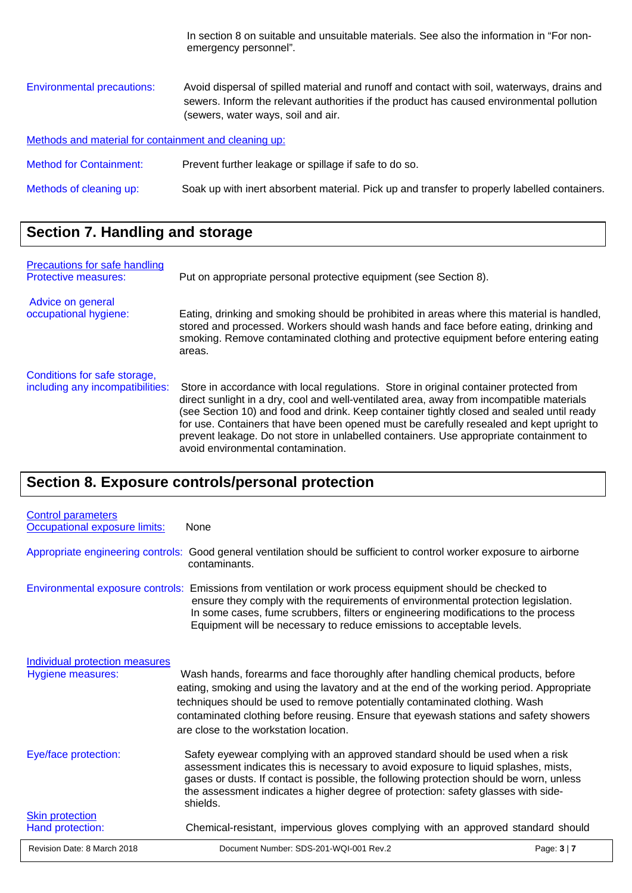|                                                       | In section 8 on suitable and unsuitable materials. See also the information in "For non-<br>emergency personnel".                                                                                                              |
|-------------------------------------------------------|--------------------------------------------------------------------------------------------------------------------------------------------------------------------------------------------------------------------------------|
| <b>Environmental precautions:</b>                     | Avoid dispersal of spilled material and runoff and contact with soil, waterways, drains and<br>sewers. Inform the relevant authorities if the product has caused environmental pollution<br>(sewers, water ways, soil and air. |
| Methods and material for containment and cleaning up: |                                                                                                                                                                                                                                |
| <b>Method for Containment:</b>                        | Prevent further leakage or spillage if safe to do so.                                                                                                                                                                          |
| Methods of cleaning up:                               | Soak up with inert absorbent material. Pick up and transfer to properly labelled containers.                                                                                                                                   |

# **Section 7. Handling and storage**

| Precautions for safe handling<br><b>Protective measures:</b>     | Put on appropriate personal protective equipment (see Section 8).                                                                                                                                                                                                                                                                                                                                                                                                                                            |
|------------------------------------------------------------------|--------------------------------------------------------------------------------------------------------------------------------------------------------------------------------------------------------------------------------------------------------------------------------------------------------------------------------------------------------------------------------------------------------------------------------------------------------------------------------------------------------------|
| Advice on general<br>occupational hygiene:                       | Eating, drinking and smoking should be prohibited in areas where this material is handled,<br>stored and processed. Workers should wash hands and face before eating, drinking and<br>smoking. Remove contaminated clothing and protective equipment before entering eating<br>areas.                                                                                                                                                                                                                        |
| Conditions for safe storage,<br>including any incompatibilities: | Store in accordance with local regulations. Store in original container protected from<br>direct sunlight in a dry, cool and well-ventilated area, away from incompatible materials<br>(see Section 10) and food and drink. Keep container tightly closed and sealed until ready<br>for use. Containers that have been opened must be carefully resealed and kept upright to<br>prevent leakage. Do not store in unlabelled containers. Use appropriate containment to<br>avoid environmental contamination. |

# **Section 8. Exposure controls/personal protection**

| Revision Date: 8 March 2018                                | Document Number: SDS-201-WQI-001 Rev.2                                                                                                                                                                                                                                                                                                                                                          | Page: $3 \mid 7$ |
|------------------------------------------------------------|-------------------------------------------------------------------------------------------------------------------------------------------------------------------------------------------------------------------------------------------------------------------------------------------------------------------------------------------------------------------------------------------------|------------------|
| <b>Skin protection</b><br>Hand protection:                 | Chemical-resistant, impervious gloves complying with an approved standard should                                                                                                                                                                                                                                                                                                                |                  |
| Eye/face protection:                                       | Safety eyewear complying with an approved standard should be used when a risk<br>assessment indicates this is necessary to avoid exposure to liquid splashes, mists,<br>gases or dusts. If contact is possible, the following protection should be worn, unless<br>the assessment indicates a higher degree of protection: safety glasses with side-<br>shields.                                |                  |
| Individual protection measures<br>Hygiene measures:        | Wash hands, forearms and face thoroughly after handling chemical products, before<br>eating, smoking and using the lavatory and at the end of the working period. Appropriate<br>techniques should be used to remove potentially contaminated clothing. Wash<br>contaminated clothing before reusing. Ensure that eyewash stations and safety showers<br>are close to the workstation location. |                  |
|                                                            | Environmental exposure controls: Emissions from ventilation or work process equipment should be checked to<br>ensure they comply with the requirements of environmental protection legislation.<br>In some cases, fume scrubbers, filters or engineering modifications to the process<br>Equipment will be necessary to reduce emissions to acceptable levels.                                  |                  |
|                                                            | Appropriate engineering controls: Good general ventilation should be sufficient to control worker exposure to airborne<br>contaminants.                                                                                                                                                                                                                                                         |                  |
| <b>Control parameters</b><br>Occupational exposure limits: | None                                                                                                                                                                                                                                                                                                                                                                                            |                  |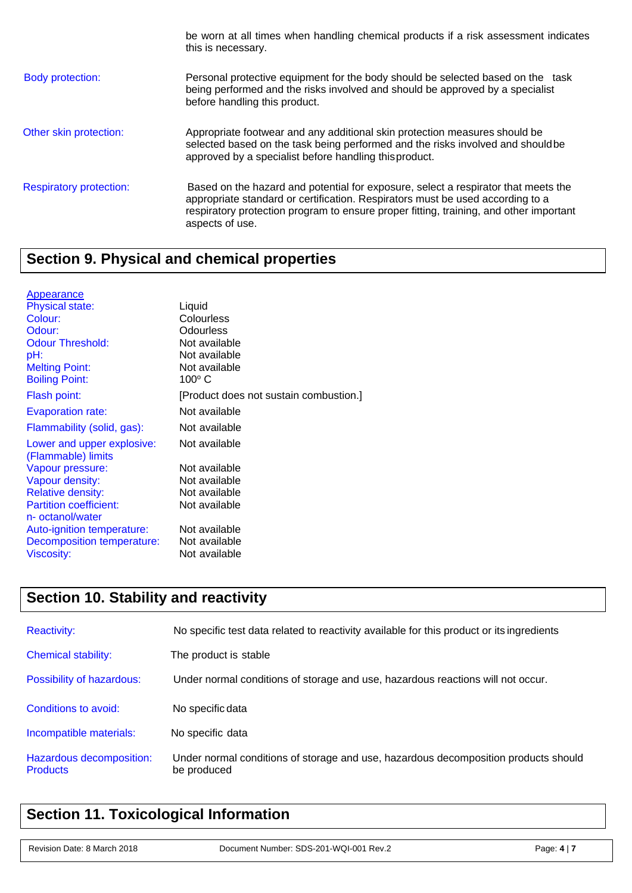|                                | be worn at all times when handling chemical products if a risk assessment indicates<br>this is necessary.                                                                                                                                                                         |
|--------------------------------|-----------------------------------------------------------------------------------------------------------------------------------------------------------------------------------------------------------------------------------------------------------------------------------|
| <b>Body protection:</b>        | Personal protective equipment for the body should be selected based on the task<br>being performed and the risks involved and should be approved by a specialist<br>before handling this product.                                                                                 |
| Other skin protection:         | Appropriate footwear and any additional skin protection measures should be<br>selected based on the task being performed and the risks involved and should be<br>approved by a specialist before handling this product.                                                           |
| <b>Respiratory protection:</b> | Based on the hazard and potential for exposure, select a respirator that meets the<br>appropriate standard or certification. Respirators must be used according to a<br>respiratory protection program to ensure proper fitting, training, and other important<br>aspects of use. |

# **Section 9. Physical and chemical properties**

| <b>Appearance</b>             |                                        |
|-------------------------------|----------------------------------------|
| <b>Physical state:</b>        | Liquid                                 |
| Colour:                       | Colourless                             |
| Odour:                        | Odourless                              |
| <b>Odour Threshold:</b>       | Not available                          |
| pH:                           | Not available                          |
| <b>Melting Point:</b>         | Not available                          |
| <b>Boiling Point:</b>         | $100^{\circ}$ C                        |
| Flash point:                  | [Product does not sustain combustion.] |
| <b>Evaporation rate:</b>      | Not available                          |
| Flammability (solid, gas):    | Not available                          |
| Lower and upper explosive:    | Not available                          |
| (Flammable) limits            |                                        |
| Vapour pressure:              | Not available                          |
| Vapour density:               | Not available                          |
| <b>Relative density:</b>      | Not available                          |
| <b>Partition coefficient:</b> | Not available                          |
| n- octanol/water              |                                        |
| Auto-ignition temperature:    | Not available                          |
| Decomposition temperature:    | Not available                          |
| Viscosity:                    | Not available                          |

# **Section 10. Stability and reactivity**

| <b>Reactivity:</b>                          | No specific test data related to reactivity available for this product or its ingredients          |
|---------------------------------------------|----------------------------------------------------------------------------------------------------|
| <b>Chemical stability:</b>                  | The product is stable                                                                              |
| Possibility of hazardous:                   | Under normal conditions of storage and use, hazardous reactions will not occur.                    |
| Conditions to avoid:                        | No specific data                                                                                   |
| Incompatible materials:                     | No specific data                                                                                   |
| Hazardous decomposition:<br><b>Products</b> | Under normal conditions of storage and use, hazardous decomposition products should<br>be produced |

# **Section 11. Toxicological Information**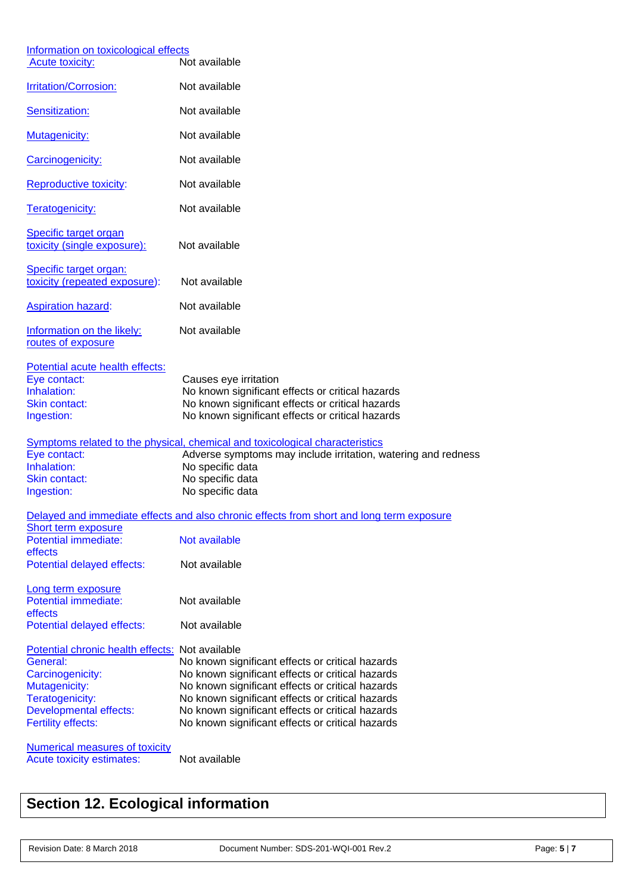| Information on toxicological effects<br><b>Acute toxicity:</b>                                                                                                                    | Not available                                                                                                                                                                                                                                                                                                        |
|-----------------------------------------------------------------------------------------------------------------------------------------------------------------------------------|----------------------------------------------------------------------------------------------------------------------------------------------------------------------------------------------------------------------------------------------------------------------------------------------------------------------|
| Irritation/Corrosion:                                                                                                                                                             | Not available                                                                                                                                                                                                                                                                                                        |
| Sensitization:                                                                                                                                                                    | Not available                                                                                                                                                                                                                                                                                                        |
| Mutagenicity:                                                                                                                                                                     | Not available                                                                                                                                                                                                                                                                                                        |
| Carcinogenicity:                                                                                                                                                                  | Not available                                                                                                                                                                                                                                                                                                        |
| Reproductive toxicity:                                                                                                                                                            | Not available                                                                                                                                                                                                                                                                                                        |
| Teratogenicity:                                                                                                                                                                   | Not available                                                                                                                                                                                                                                                                                                        |
| Specific target organ<br>toxicity (single exposure):                                                                                                                              | Not available                                                                                                                                                                                                                                                                                                        |
| Specific target organ:<br>toxicity (repeated exposure):                                                                                                                           | Not available                                                                                                                                                                                                                                                                                                        |
| <b>Aspiration hazard:</b>                                                                                                                                                         | Not available                                                                                                                                                                                                                                                                                                        |
| Information on the likely:<br>routes of exposure                                                                                                                                  | Not available                                                                                                                                                                                                                                                                                                        |
| Potential acute health effects:<br>Eye contact:<br>Inhalation:<br>Skin contact:<br>Ingestion:                                                                                     | Causes eye irritation<br>No known significant effects or critical hazards<br>No known significant effects or critical hazards<br>No known significant effects or critical hazards                                                                                                                                    |
| Eye contact:<br>Inhalation:<br>Skin contact:<br>Ingestion:                                                                                                                        | Symptoms related to the physical, chemical and toxicological characteristics<br>Adverse symptoms may include irritation, watering and redness<br>No specific data<br>No specific data<br>No specific data                                                                                                            |
|                                                                                                                                                                                   | Delayed and immediate effects and also chronic effects from short and long term exposure                                                                                                                                                                                                                             |
| Short term exposure<br>Potential immediate:<br>effects                                                                                                                            | Not available                                                                                                                                                                                                                                                                                                        |
| Potential delayed effects:                                                                                                                                                        | Not available                                                                                                                                                                                                                                                                                                        |
| Long term exposure<br>Potential immediate:<br>effects                                                                                                                             | Not available                                                                                                                                                                                                                                                                                                        |
| Potential delayed effects:                                                                                                                                                        | Not available                                                                                                                                                                                                                                                                                                        |
| Potential chronic health effects: Not available<br>General:<br>Carcinogenicity:<br>Mutagenicity:<br>Teratogenicity:<br><b>Developmental effects:</b><br><b>Fertility effects:</b> | No known significant effects or critical hazards<br>No known significant effects or critical hazards<br>No known significant effects or critical hazards<br>No known significant effects or critical hazards<br>No known significant effects or critical hazards<br>No known significant effects or critical hazards |
| <b>Numerical measures of toxicity</b><br>Acute toxicity estimates:                                                                                                                | Not available                                                                                                                                                                                                                                                                                                        |

# **Section 12. Ecological information**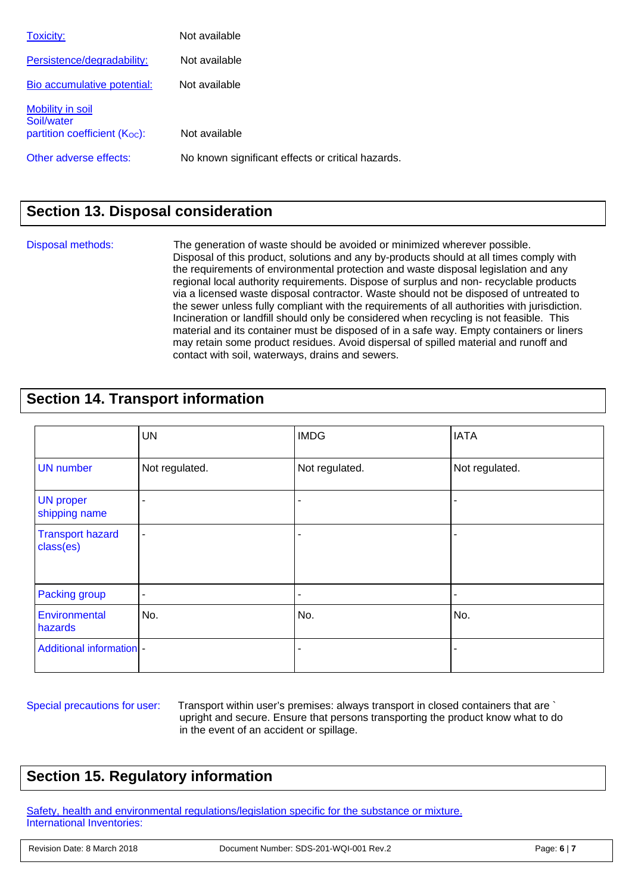| Toxicity:                      | Not available                                     |
|--------------------------------|---------------------------------------------------|
| Persistence/degradability:     | Not available                                     |
| Bio accumulative potential:    | Not available                                     |
| Mobility in soil<br>Soil/water |                                                   |
| partition coefficient (Koc):   | Not available                                     |
| Other adverse effects:         | No known significant effects or critical hazards. |

# **Section 13. Disposal consideration**

Disposal methods:The generation of waste should be avoided or minimized wherever possible. Disposal of this product, solutions and any by-products should at all times comply with the requirements of environmental protection and waste disposal legislation and any regional local authority requirements. Dispose of surplus and non- recyclable products via a licensed waste disposal contractor. Waste should not be disposed of untreated to the sewer unless fully compliant with the requirements of all authorities with jurisdiction. Incineration or landfill should only be considered when recycling is not feasible. This material and its container must be disposed of in a safe way. Empty containers or liners may retain some product residues. Avoid dispersal of spilled material and runoff and contact with soil, waterways, drains and sewers.

### **Section 14. Transport information**

|                                      | <b>UN</b>                | <b>IMDG</b>    | <b>IATA</b>    |
|--------------------------------------|--------------------------|----------------|----------------|
| <b>UN</b> number                     | Not regulated.           | Not regulated. | Not regulated. |
| <b>UN proper</b><br>shipping name    |                          |                |                |
| <b>Transport hazard</b><br>class(es) |                          |                |                |
| Packing group                        | $\overline{\phantom{a}}$ |                | ۰              |
| Environmental<br>hazards             | No.                      | No.            | No.            |
| <b>Additional information -</b>      |                          |                |                |

Special precautions for user: Transport within user's premises: always transport in closed containers that are ` upright and secure. Ensure that persons transporting the product know what to do in the event of an accident or spillage.

# **Section 15. Regulatory information**

Safety, health and environmental regulations/legislation specific for the substance or mixture. International Inventories: